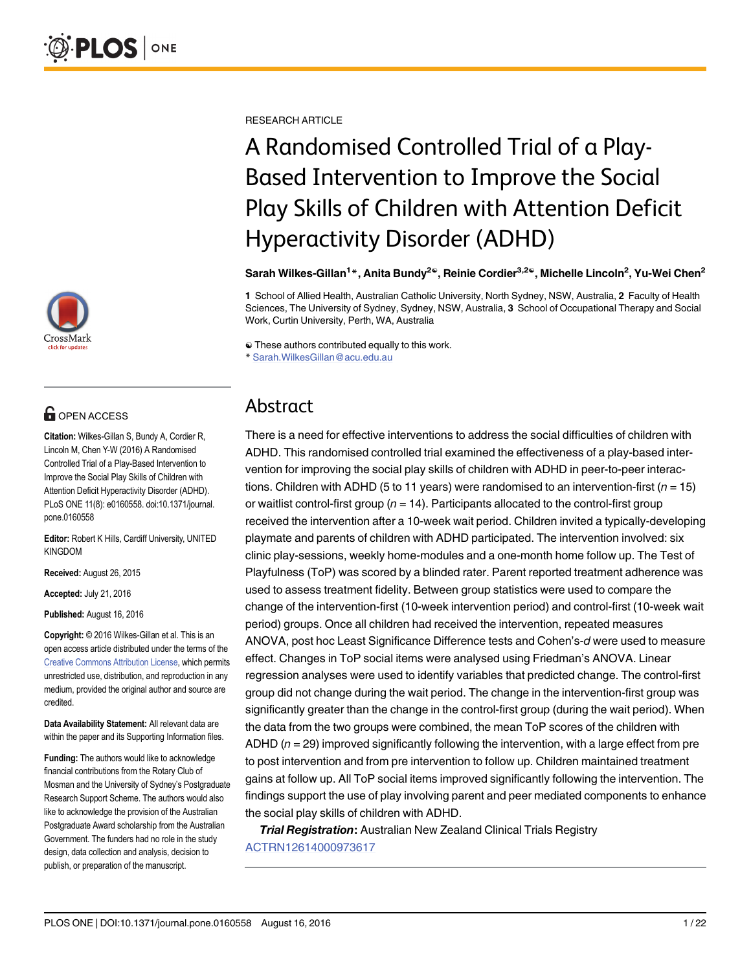

## **G** OPEN ACCESS

Citation: Wilkes-Gillan S, Bundy A, Cordier R, Lincoln M, Chen Y-W (2016) A Randomised Controlled Trial of a Play-Based Intervention to Improve the Social Play Skills of Children with Attention Deficit Hyperactivity Disorder (ADHD). PLoS ONE 11(8): e0160558. doi:10.1371/journal. pone.0160558

Editor: Robert K Hills, Cardiff University, UNITED KINGDOM

Received: August 26, 2015

Accepted: July 21, 2016

Published: August 16, 2016

Copyright: © 2016 Wilkes-Gillan et al. This is an open access article distributed under the terms of the [Creative Commons Attribution License,](http://creativecommons.org/licenses/by/4.0/) which permits unrestricted use, distribution, and reproduction in any medium, provided the original author and source are credited.

Data Availability Statement: All relevant data are within the paper and its Supporting Information files.

Funding: The authors would like to acknowledge financial contributions from the Rotary Club of Mosman and the University of Sydney's Postgraduate Research Support Scheme. The authors would also like to acknowledge the provision of the Australian Postgraduate Award scholarship from the Australian Government. The funders had no role in the study design, data collection and analysis, decision to publish, or preparation of the manuscript.

RESEARCH ARTICLE

# A Randomised Controlled Trial of a Play-Based Intervention to Improve the Social Play Skills of Children with Attention Deficit Hyperactivity Disorder (ADHD)

Sarah Wilkes-Gillan<sup>1</sup>\*, Anita Bundy<sup>2©</sup>, Reinie Cordier<sup>3,2©</sup>, Michelle Lincoln<sup>2</sup>, Yu-Wei Chen<sup>2</sup>

1 School of Allied Health, Australian Catholic University, North Sydney, NSW, Australia, 2 Faculty of Health Sciences, The University of Sydney, Sydney, NSW, Australia, 3 School of Occupational Therapy and Social Work, Curtin University, Perth, WA, Australia

☯ These authors contributed equally to this work.

\* Sarah.WilkesGillan@acu.edu.au

## Abstract

There is a need for effective interventions to address the social difficulties of children with ADHD. This randomised controlled trial examined the effectiveness of a play-based intervention for improving the social play skills of children with ADHD in peer-to-peer interactions. Children with ADHD (5 to 11 years) were randomised to an intervention-first ( $n = 15$ ) or waitlist control-first group ( $n = 14$ ). Participants allocated to the control-first group received the intervention after a 10-week wait period. Children invited a typically-developing playmate and parents of children with ADHD participated. The intervention involved: six clinic play-sessions, weekly home-modules and a one-month home follow up. The Test of Playfulness (ToP) was scored by a blinded rater. Parent reported treatment adherence was used to assess treatment fidelity. Between group statistics were used to compare the change of the intervention-first (10-week intervention period) and control-first (10-week wait period) groups. Once all children had received the intervention, repeated measures ANOVA, post hoc Least Significance Difference tests and Cohen's-d were used to measure effect. Changes in ToP social items were analysed using Friedman's ANOVA. Linear regression analyses were used to identify variables that predicted change. The control-first group did not change during the wait period. The change in the intervention-first group was significantly greater than the change in the control-first group (during the wait period). When the data from the two groups were combined, the mean ToP scores of the children with ADHD ( $n = 29$ ) improved significantly following the intervention, with a large effect from pre to post intervention and from pre intervention to follow up. Children maintained treatment gains at follow up. All ToP social items improved significantly following the intervention. The findings support the use of play involving parent and peer mediated components to enhance the social play skills of children with ADHD.

**Trial Registration:** Australian New Zealand Clinical Trials Registry [ACTRN12614000973617](https://www.anzctr.org.au/Trial/Registration/TrialReview.aspx?id=367030&isReview�=�true)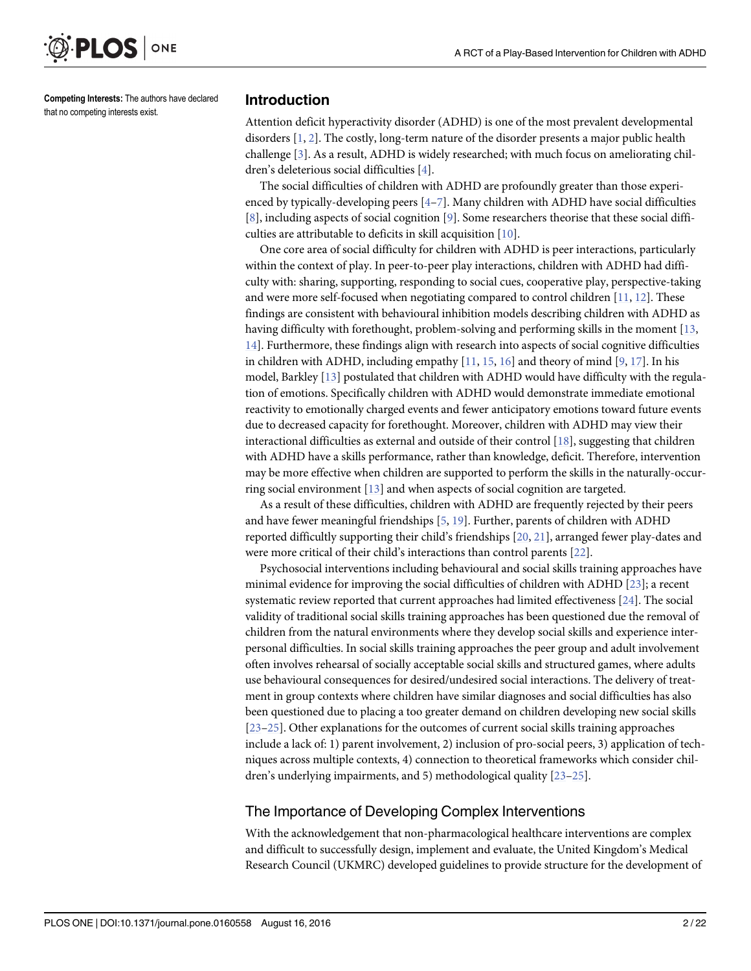<span id="page-1-0"></span>

Competing Interests: The authors have declared that no competing interests exist.

#### Introduction

Attention deficit hyperactivity disorder (ADHD) is one of the most prevalent developmental disorders [\[1](#page-18-0), [2](#page-18-0)]. The costly, long-term nature of the disorder presents a major public health challenge [[3\]](#page-18-0). As a result, ADHD is widely researched; with much focus on ameliorating children's deleterious social difficulties [[4\]](#page-18-0).

The social difficulties of children with ADHD are profoundly greater than those experienced by typically-developing peers  $[4-7]$  $[4-7]$  $[4-7]$  $[4-7]$ . Many children with ADHD have social difficulties [\[8](#page-19-0)], including aspects of social cognition [[9](#page-19-0)]. Some researchers theorise that these social difficulties are attributable to deficits in skill acquisition [[10\]](#page-19-0).

One core area of social difficulty for children with ADHD is peer interactions, particularly within the context of play. In peer-to-peer play interactions, children with ADHD had difficulty with: sharing, supporting, responding to social cues, cooperative play, perspective-taking and were more self-focused when negotiating compared to control children  $[11, 12]$  $[11, 12]$  $[11, 12]$  $[11, 12]$  $[11, 12]$ . These findings are consistent with behavioural inhibition models describing children with ADHD as having difficulty with forethought, problem-solving and performing skills in the moment [[13](#page-19-0), [14\]](#page-19-0). Furthermore, these findings align with research into aspects of social cognitive difficulties in children with ADHD, including empathy  $[11, 15, 16]$  $[11, 15, 16]$  $[11, 15, 16]$  $[11, 15, 16]$  $[11, 15, 16]$  and theory of mind  $[9, 17]$  $[9, 17]$  $[9, 17]$  $[9, 17]$ . In his model, Barkley [\[13\]](#page-19-0) postulated that children with ADHD would have difficulty with the regulation of emotions. Specifically children with ADHD would demonstrate immediate emotional reactivity to emotionally charged events and fewer anticipatory emotions toward future events due to decreased capacity for forethought. Moreover, children with ADHD may view their interactional difficulties as external and outside of their control [[18](#page-19-0)], suggesting that children with ADHD have a skills performance, rather than knowledge, deficit. Therefore, intervention may be more effective when children are supported to perform the skills in the naturally-occurring social environment [\[13\]](#page-19-0) and when aspects of social cognition are targeted.

As a result of these difficulties, children with ADHD are frequently rejected by their peers and have fewer meaningful friendships  $[5, 19]$  $[5, 19]$  $[5, 19]$  $[5, 19]$ . Further, parents of children with ADHD reported difficultly supporting their child's friendships [\[20](#page-19-0), [21\]](#page-19-0), arranged fewer play-dates and were more critical of their child's interactions than control parents [\[22\]](#page-19-0).

Psychosocial interventions including behavioural and social skills training approaches have minimal evidence for improving the social difficulties of children with ADHD [[23](#page-19-0)]; a recent systematic review reported that current approaches had limited effectiveness [[24](#page-19-0)]. The social validity of traditional social skills training approaches has been questioned due the removal of children from the natural environments where they develop social skills and experience interpersonal difficulties. In social skills training approaches the peer group and adult involvement often involves rehearsal of socially acceptable social skills and structured games, where adults use behavioural consequences for desired/undesired social interactions. The delivery of treatment in group contexts where children have similar diagnoses and social difficulties has also been questioned due to placing a too greater demand on children developing new social skills [\[23](#page-19-0)–[25\]](#page-19-0). Other explanations for the outcomes of current social skills training approaches include a lack of: 1) parent involvement, 2) inclusion of pro-social peers, 3) application of techniques across multiple contexts, 4) connection to theoretical frameworks which consider children's underlying impairments, and 5) methodological quality [[23](#page-19-0)–[25](#page-19-0)].

### The Importance of Developing Complex Interventions

With the acknowledgement that non-pharmacological healthcare interventions are complex and difficult to successfully design, implement and evaluate, the United Kingdom's Medical Research Council (UKMRC) developed guidelines to provide structure for the development of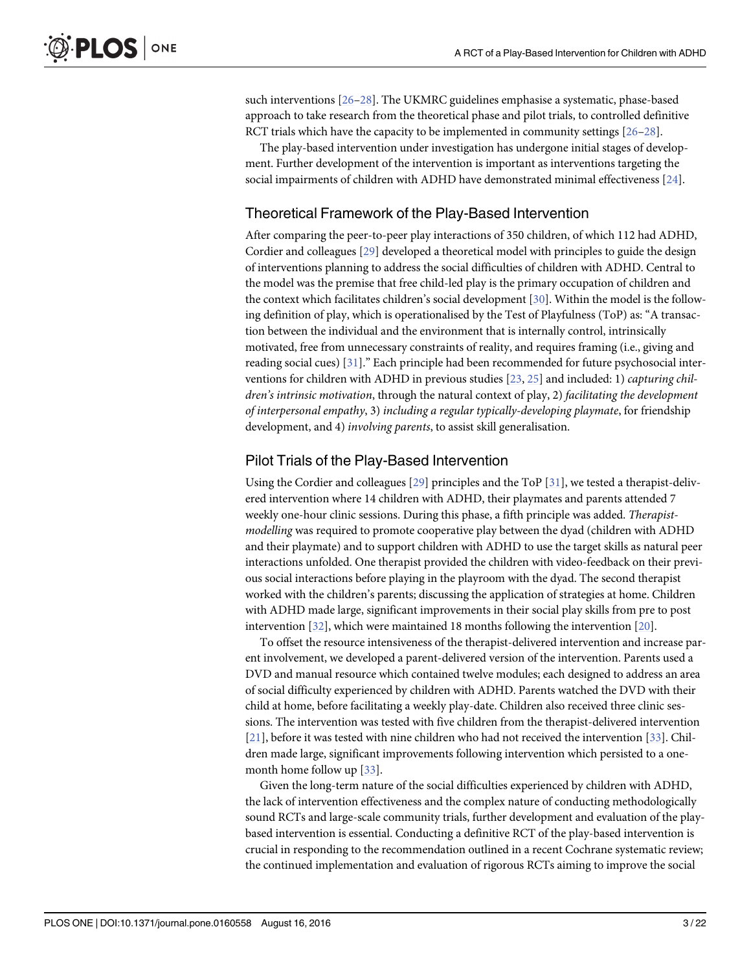<span id="page-2-0"></span>such interventions [[26](#page-19-0)–[28](#page-19-0)]. The UKMRC guidelines emphasise a systematic, phase-based approach to take research from the theoretical phase and pilot trials, to controlled definitive RCT trials which have the capacity to be implemented in community settings [[26](#page-19-0)–[28\]](#page-19-0).

The play-based intervention under investigation has undergone initial stages of development. Further development of the intervention is important as interventions targeting the social impairments of children with ADHD have demonstrated minimal effectiveness [\[24](#page-19-0)].

#### Theoretical Framework of the Play-Based Intervention

After comparing the peer-to-peer play interactions of 350 children, of which 112 had ADHD, Cordier and colleagues [\[29\]](#page-20-0) developed a theoretical model with principles to guide the design of interventions planning to address the social difficulties of children with ADHD. Central to the model was the premise that free child-led play is the primary occupation of children and the context which facilitates children's social development [[30](#page-20-0)]. Within the model is the following definition of play, which is operationalised by the Test of Playfulness (ToP) as: "A transaction between the individual and the environment that is internally control, intrinsically motivated, free from unnecessary constraints of reality, and requires framing (i.e., giving and reading social cues) [[31](#page-20-0)]." Each principle had been recommended for future psychosocial interventions for children with ADHD in previous studies [[23,](#page-19-0) [25\]](#page-19-0) and included: 1) capturing children's intrinsic motivation, through the natural context of play, 2) facilitating the development of interpersonal empathy, 3) including a regular typically-developing playmate, for friendship development, and 4) *involving parents*, to assist skill generalisation.

#### Pilot Trials of the Play-Based Intervention

Using the Cordier and colleagues  $[29]$  $[29]$  $[29]$  principles and the ToP  $[31]$  $[31]$  $[31]$ , we tested a therapist-delivered intervention where 14 children with ADHD, their playmates and parents attended 7 weekly one-hour clinic sessions. During this phase, a fifth principle was added. Therapistmodelling was required to promote cooperative play between the dyad (children with ADHD and their playmate) and to support children with ADHD to use the target skills as natural peer interactions unfolded. One therapist provided the children with video-feedback on their previous social interactions before playing in the playroom with the dyad. The second therapist worked with the children's parents; discussing the application of strategies at home. Children with ADHD made large, significant improvements in their social play skills from pre to post intervention [[32](#page-20-0)], which were maintained 18 months following the intervention [[20](#page-19-0)].

To offset the resource intensiveness of the therapist-delivered intervention and increase parent involvement, we developed a parent-delivered version of the intervention. Parents used a DVD and manual resource which contained twelve modules; each designed to address an area of social difficulty experienced by children with ADHD. Parents watched the DVD with their child at home, before facilitating a weekly play-date. Children also received three clinic sessions. The intervention was tested with five children from the therapist-delivered intervention [\[21](#page-19-0)], before it was tested with nine children who had not received the intervention [[33](#page-20-0)]. Children made large, significant improvements following intervention which persisted to a one-month home follow up [[33](#page-20-0)].

Given the long-term nature of the social difficulties experienced by children with ADHD, the lack of intervention effectiveness and the complex nature of conducting methodologically sound RCTs and large-scale community trials, further development and evaluation of the playbased intervention is essential. Conducting a definitive RCT of the play-based intervention is crucial in responding to the recommendation outlined in a recent Cochrane systematic review; the continued implementation and evaluation of rigorous RCTs aiming to improve the social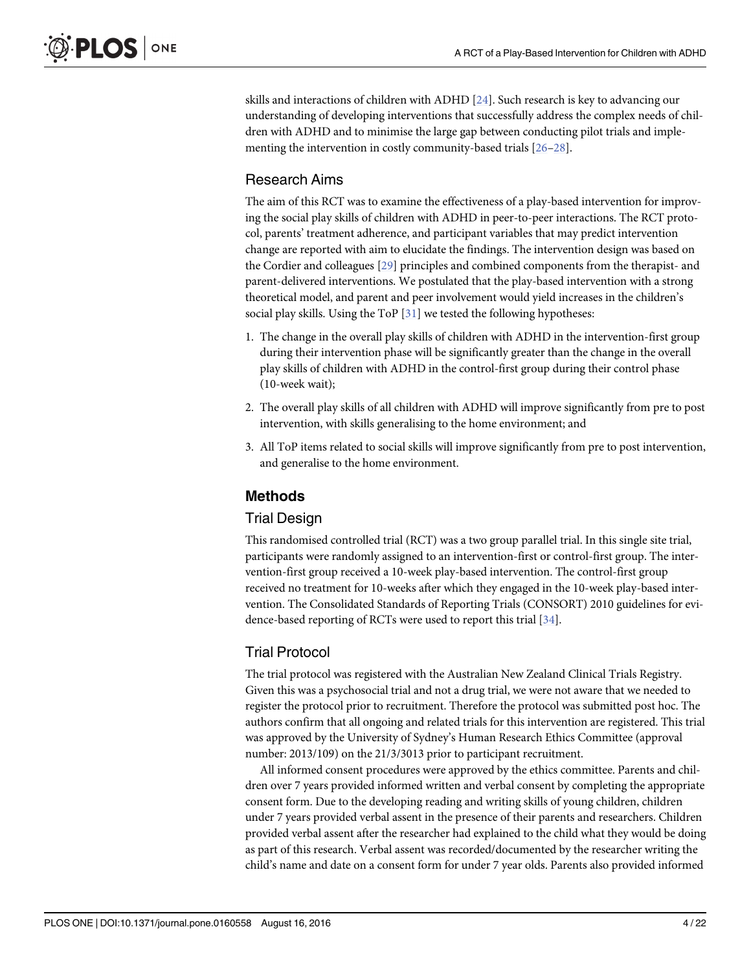<span id="page-3-0"></span>skills and interactions of children with ADHD [[24](#page-19-0)]. Such research is key to advancing our understanding of developing interventions that successfully address the complex needs of children with ADHD and to minimise the large gap between conducting pilot trials and imple-menting the intervention in costly community-based trials [[26](#page-19-0)–[28](#page-19-0)].

## Research Aims

The aim of this RCT was to examine the effectiveness of a play-based intervention for improving the social play skills of children with ADHD in peer-to-peer interactions. The RCT protocol, parents' treatment adherence, and participant variables that may predict intervention change are reported with aim to elucidate the findings. The intervention design was based on the Cordier and colleagues [[29\]](#page-20-0) principles and combined components from the therapist- and parent-delivered interventions. We postulated that the play-based intervention with a strong theoretical model, and parent and peer involvement would yield increases in the children's social play skills. Using the ToP [[31](#page-20-0)] we tested the following hypotheses:

- 1. The change in the overall play skills of children with ADHD in the intervention-first group during their intervention phase will be significantly greater than the change in the overall play skills of children with ADHD in the control-first group during their control phase (10-week wait);
- 2. The overall play skills of all children with ADHD will improve significantly from pre to post intervention, with skills generalising to the home environment; and
- 3. All ToP items related to social skills will improve significantly from pre to post intervention, and generalise to the home environment.

## Methods

### Trial Design

This randomised controlled trial (RCT) was a two group parallel trial. In this single site trial, participants were randomly assigned to an intervention-first or control-first group. The intervention-first group received a 10-week play-based intervention. The control-first group received no treatment for 10-weeks after which they engaged in the 10-week play-based intervention. The Consolidated Standards of Reporting Trials (CONSORT) 2010 guidelines for evidence-based reporting of RCTs were used to report this trial [[34](#page-20-0)].

## Trial Protocol

The trial protocol was registered with the Australian New Zealand Clinical Trials Registry. Given this was a psychosocial trial and not a drug trial, we were not aware that we needed to register the protocol prior to recruitment. Therefore the protocol was submitted post hoc. The authors confirm that all ongoing and related trials for this intervention are registered. This trial was approved by the University of Sydney's Human Research Ethics Committee (approval number: 2013/109) on the 21/3/3013 prior to participant recruitment.

All informed consent procedures were approved by the ethics committee. Parents and children over 7 years provided informed written and verbal consent by completing the appropriate consent form. Due to the developing reading and writing skills of young children, children under 7 years provided verbal assent in the presence of their parents and researchers. Children provided verbal assent after the researcher had explained to the child what they would be doing as part of this research. Verbal assent was recorded/documented by the researcher writing the child's name and date on a consent form for under 7 year olds. Parents also provided informed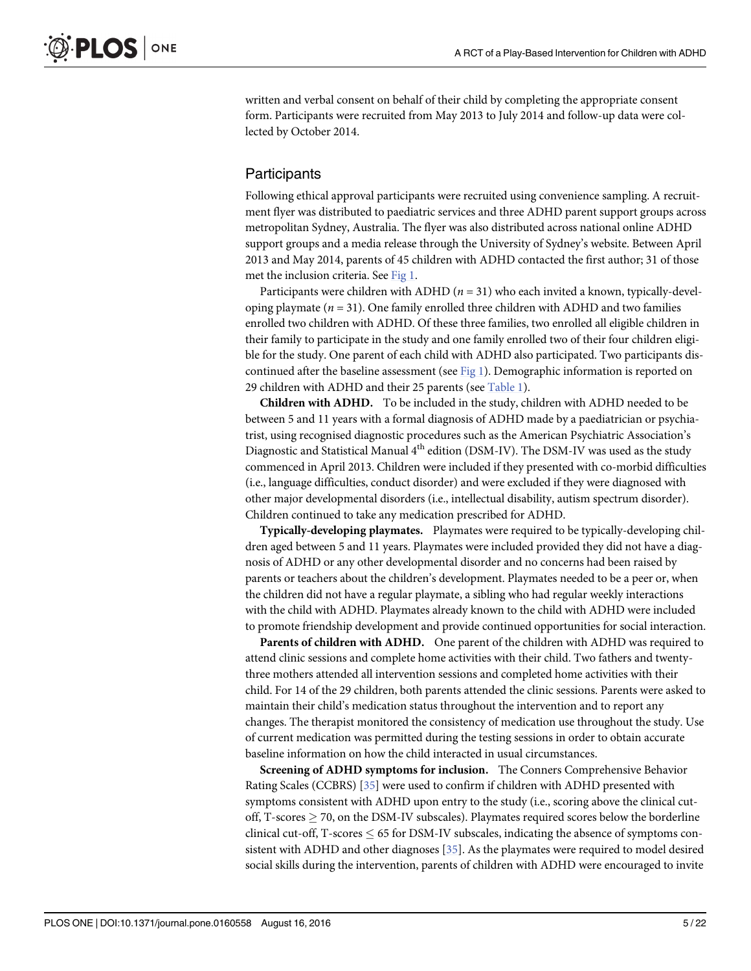<span id="page-4-0"></span>written and verbal consent on behalf of their child by completing the appropriate consent form. Participants were recruited from May 2013 to July 2014 and follow-up data were collected by October 2014.

## **Participants**

Following ethical approval participants were recruited using convenience sampling. A recruitment flyer was distributed to paediatric services and three ADHD parent support groups across metropolitan Sydney, Australia. The flyer was also distributed across national online ADHD support groups and a media release through the University of Sydney's website. Between April 2013 and May 2014, parents of 45 children with ADHD contacted the first author; 31 of those met the inclusion criteria. See [Fig 1](#page-5-0).

Participants were children with ADHD ( $n = 31$ ) who each invited a known, typically-developing playmate ( $n = 31$ ). One family enrolled three children with ADHD and two families enrolled two children with ADHD. Of these three families, two enrolled all eligible children in their family to participate in the study and one family enrolled two of their four children eligible for the study. One parent of each child with ADHD also participated. Two participants dis-continued after the baseline assessment (see [Fig 1\)](#page-5-0). Demographic information is reported on 29 children with ADHD and their 25 parents (see [Table 1\)](#page-6-0).

Children with ADHD. To be included in the study, children with ADHD needed to be between 5 and 11 years with a formal diagnosis of ADHD made by a paediatrician or psychiatrist, using recognised diagnostic procedures such as the American Psychiatric Association's Diagnostic and Statistical Manual 4<sup>th</sup> edition (DSM-IV). The DSM-IV was used as the study commenced in April 2013. Children were included if they presented with co-morbid difficulties (i.e., language difficulties, conduct disorder) and were excluded if they were diagnosed with other major developmental disorders (i.e., intellectual disability, autism spectrum disorder). Children continued to take any medication prescribed for ADHD.

Typically-developing playmates. Playmates were required to be typically-developing children aged between 5 and 11 years. Playmates were included provided they did not have a diagnosis of ADHD or any other developmental disorder and no concerns had been raised by parents or teachers about the children's development. Playmates needed to be a peer or, when the children did not have a regular playmate, a sibling who had regular weekly interactions with the child with ADHD. Playmates already known to the child with ADHD were included to promote friendship development and provide continued opportunities for social interaction.

Parents of children with ADHD. One parent of the children with ADHD was required to attend clinic sessions and complete home activities with their child. Two fathers and twentythree mothers attended all intervention sessions and completed home activities with their child. For 14 of the 29 children, both parents attended the clinic sessions. Parents were asked to maintain their child's medication status throughout the intervention and to report any changes. The therapist monitored the consistency of medication use throughout the study. Use of current medication was permitted during the testing sessions in order to obtain accurate baseline information on how the child interacted in usual circumstances.

Screening of ADHD symptoms for inclusion. The Conners Comprehensive Behavior Rating Scales (CCBRS) [[35](#page-20-0)] were used to confirm if children with ADHD presented with symptoms consistent with ADHD upon entry to the study (i.e., scoring above the clinical cutoff, T-scores  $>$  70, on the DSM-IV subscales). Playmates required scores below the borderline clinical cut-off, T-scores  $\leq 65$  for DSM-IV subscales, indicating the absence of symptoms consistent with ADHD and other diagnoses [[35](#page-20-0)]. As the playmates were required to model desired social skills during the intervention, parents of children with ADHD were encouraged to invite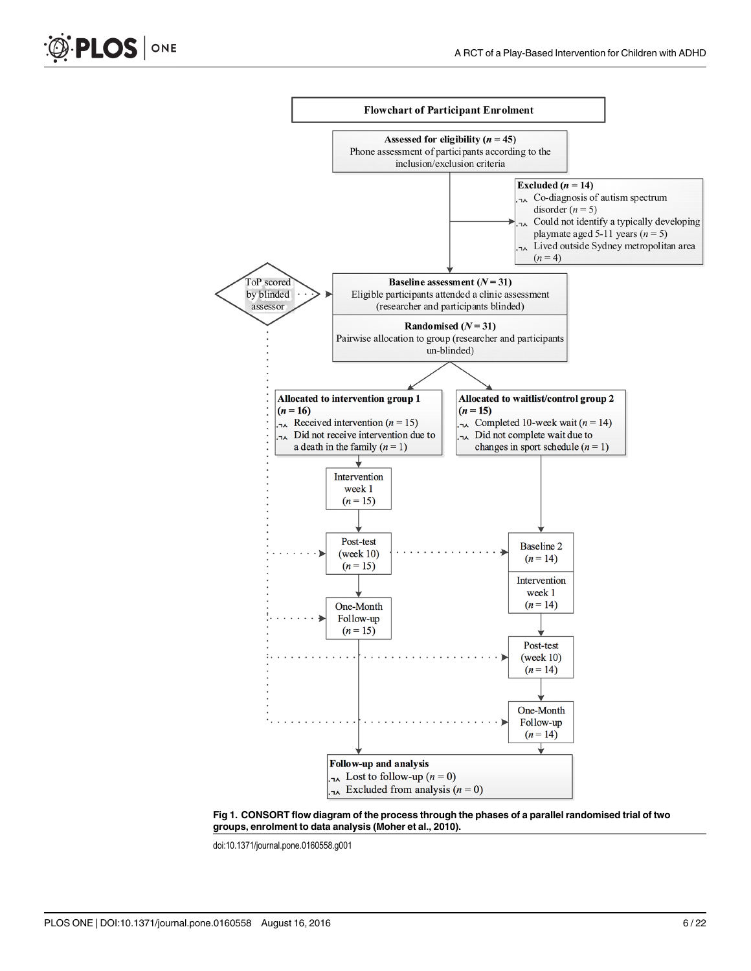



doi:10.1371/journal.pone.0160558.g001

<span id="page-5-0"></span>PLOS ONE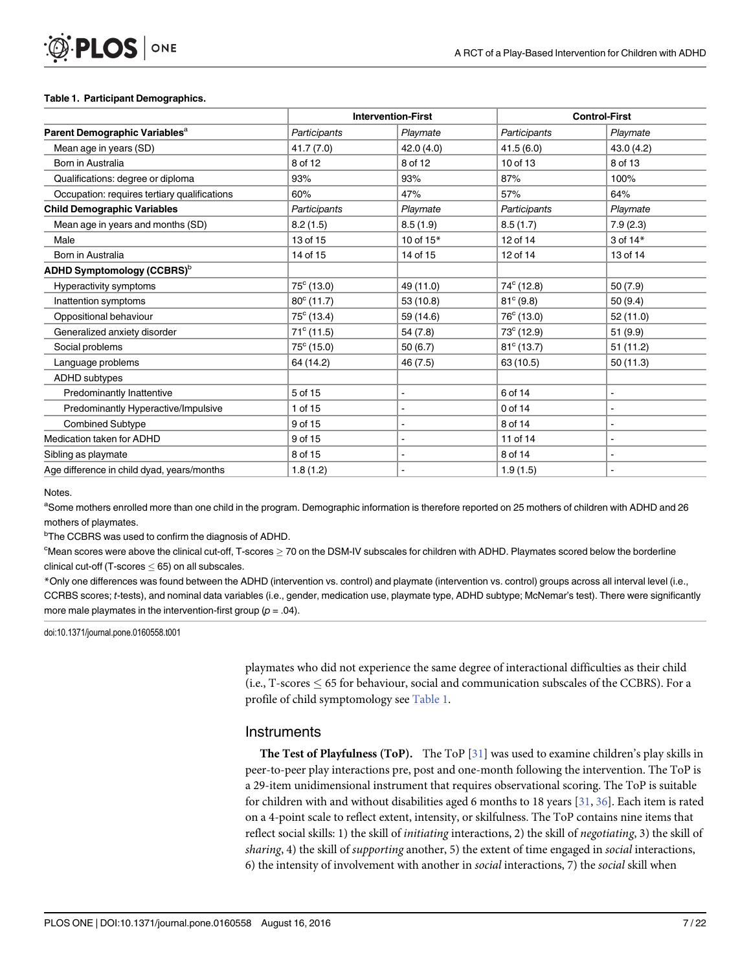#### <span id="page-6-0"></span>[Table 1.](#page-4-0) Participant Demographics.

|                                               |                     | <b>Intervention-First</b> |                     | <b>Control-First</b> |  |  |
|-----------------------------------------------|---------------------|---------------------------|---------------------|----------------------|--|--|
| Parent Demographic Variables <sup>a</sup>     | Participants        | Playmate                  | Participants        | Playmate             |  |  |
| Mean age in years (SD)                        | 41.7 (7.0)          | 42.0 (4.0)                | 41.5(6.0)           | 43.0 (4.2)           |  |  |
| Born in Australia                             | 8 of 12             | 8 of 12                   | 10 of 13            | 8 of 13              |  |  |
| Qualifications: degree or diploma             | 93%                 | 93%                       | 87%                 | 100%                 |  |  |
| Occupation: requires tertiary qualifications  | 60%                 | 47%                       | 57%                 | 64%                  |  |  |
| <b>Child Demographic Variables</b>            | Participants        | Playmate                  | Participants        | Playmate             |  |  |
| Mean age in years and months (SD)             | 8.2(1.5)            | 8.5(1.9)                  | 8.5(1.7)            | 7.9(2.3)             |  |  |
| Male                                          | 13 of 15            | 10 of 15*                 | 12 of 14            | 3 of 14*             |  |  |
| Born in Australia                             | 14 of 15            | 14 of 15                  | 12 of 14            | 13 of 14             |  |  |
| <b>ADHD Symptomology (CCBRS)</b> <sup>b</sup> |                     |                           |                     |                      |  |  |
| Hyperactivity symptoms                        | $75^{\circ}$ (13.0) | 49 (11.0)                 | $74^{\circ}$ (12.8) | 50(7.9)              |  |  |
| Inattention symptoms                          | $80^{\circ}$ (11.7) | 53 (10.8)                 | $81^{\circ}$ (9.8)  | 50 (9.4)             |  |  |
| Oppositional behaviour                        | $75^{\circ}$ (13.4) | 59 (14.6)                 | $76^{\circ}$ (13.0) | 52 (11.0)            |  |  |
| Generalized anxiety disorder                  | $71^{\circ}$ (11.5) | 54 (7.8)                  | $73^{\circ}$ (12.9) | 51 (9.9)             |  |  |
| Social problems                               | $75^{\circ}$ (15.0) | 50(6.7)                   | $81^{\circ}$ (13.7) | 51 (11.2)            |  |  |
| Language problems                             | 64 (14.2)           | 46 (7.5)                  | 63 (10.5)           | 50 (11.3)            |  |  |
| ADHD subtypes                                 |                     |                           |                     |                      |  |  |
| Predominantly Inattentive                     | 5 of 15             |                           | 6 of 14             |                      |  |  |
| Predominantly Hyperactive/Impulsive           | 1 of 15             |                           | 0 of 14             | $\blacksquare$       |  |  |
| <b>Combined Subtype</b>                       | 9 of 15             | $\blacksquare$            | 8 of 14             |                      |  |  |
| Medication taken for ADHD                     | 9 of 15             |                           | 11 of 14            |                      |  |  |
| Sibling as playmate                           | 8 of 15             |                           | 8 of 14             |                      |  |  |
| Age difference in child dyad, years/months    | 1.8(1.2)            |                           | 1.9(1.5)            |                      |  |  |

**Notes** 

aSome mothers enrolled more than one child in the program. Demographic information is therefore reported on 25 mothers of children with ADHD and 26 mothers of playmates.

<sup>b</sup>The CCBRS was used to confirm the diagnosis of ADHD.

 $^{\rm c}$ Mean scores were above the clinical cut-off, T-scores  $\geq$  70 on the DSM-IV subscales for children with ADHD. Playmates scored below the borderline clinical cut-off (T-scores  $<$  65) on all subscales.

\*Only one differences was found between the ADHD (intervention vs. control) and playmate (intervention vs. control) groups across all interval level (i.e., CCRBS scores; t-tests), and nominal data variables (i.e., gender, medication use, playmate type, ADHD subtype; McNemar's test). There were significantly more male playmates in the intervention-first group ( $p = .04$ ).

doi:10.1371/journal.pone.0160558.t001

playmates who did not experience the same degree of interactional difficulties as their child  $(i.e., T-scores \le 65$  for behaviour, social and communication subscales of the CCBRS). For a profile of child symptomology see Table 1.

#### **Instruments**

**The Test of Playfulness (ToP).** The ToP  $[31]$  $[31]$  was used to examine children's play skills in peer-to-peer play interactions pre, post and one-month following the intervention. The ToP is a 29-item unidimensional instrument that requires observational scoring. The ToP is suitable for children with and without disabilities aged 6 months to 18 years [[31,](#page-20-0) [36](#page-20-0)]. Each item is rated on a 4-point scale to reflect extent, intensity, or skilfulness. The ToP contains nine items that reflect social skills: 1) the skill of initiating interactions, 2) the skill of negotiating, 3) the skill of sharing, 4) the skill of supporting another, 5) the extent of time engaged in social interactions, 6) the intensity of involvement with another in social interactions, 7) the social skill when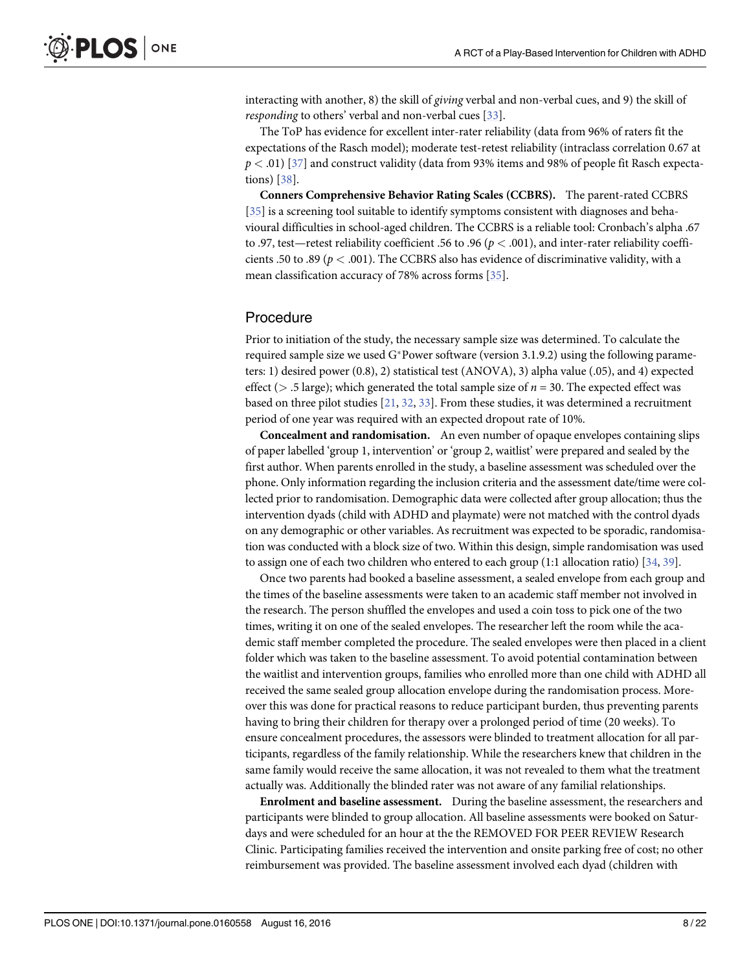<span id="page-7-0"></span>interacting with another, 8) the skill of giving verbal and non-verbal cues, and 9) the skill of responding to others' verbal and non-verbal cues [[33\]](#page-20-0).

The ToP has evidence for excellent inter-rater reliability (data from 96% of raters fit the expectations of the Rasch model); moderate test-retest reliability (intraclass correlation 0.67 at  $p < .01$  [[37](#page-20-0)] and construct validity (data from 93% items and 98% of people fit Rasch expectations) [[38](#page-20-0)].

Conners Comprehensive Behavior Rating Scales (CCBRS). The parent-rated CCBRS [\[35](#page-20-0)] is a screening tool suitable to identify symptoms consistent with diagnoses and behavioural difficulties in school-aged children. The CCBRS is a reliable tool: Cronbach's alpha .67 to .97, test—retest reliability coefficient .56 to .96 ( $p < .001$ ), and inter-rater reliability coefficients .50 to .89 ( $p < .001$ ). The CCBRS also has evidence of discriminative validity, with a mean classification accuracy of 78% across forms [[35](#page-20-0)].

#### Procedure

Prior to initiation of the study, the necessary sample size was determined. To calculate the required sample size we used  $G<sup>*</sup> Power software (version 3.1.9.2) using the following parame$ ters: 1) desired power (0.8), 2) statistical test (ANOVA), 3) alpha value (.05), and 4) expected effect ( $> .5$  large); which generated the total sample size of  $n = 30$ . The expected effect was based on three pilot studies  $[21, 32, 33]$  $[21, 32, 33]$  $[21, 32, 33]$  $[21, 32, 33]$  $[21, 32, 33]$  $[21, 32, 33]$  $[21, 32, 33]$ . From these studies, it was determined a recruitment period of one year was required with an expected dropout rate of 10%.

Concealment and randomisation. An even number of opaque envelopes containing slips of paper labelled 'group 1, intervention' or 'group 2, waitlist' were prepared and sealed by the first author. When parents enrolled in the study, a baseline assessment was scheduled over the phone. Only information regarding the inclusion criteria and the assessment date/time were collected prior to randomisation. Demographic data were collected after group allocation; thus the intervention dyads (child with ADHD and playmate) were not matched with the control dyads on any demographic or other variables. As recruitment was expected to be sporadic, randomisation was conducted with a block size of two. Within this design, simple randomisation was used to assign one of each two children who entered to each group (1:1 allocation ratio) [[34](#page-20-0), [39\]](#page-20-0).

Once two parents had booked a baseline assessment, a sealed envelope from each group and the times of the baseline assessments were taken to an academic staff member not involved in the research. The person shuffled the envelopes and used a coin toss to pick one of the two times, writing it on one of the sealed envelopes. The researcher left the room while the academic staff member completed the procedure. The sealed envelopes were then placed in a client folder which was taken to the baseline assessment. To avoid potential contamination between the waitlist and intervention groups, families who enrolled more than one child with ADHD all received the same sealed group allocation envelope during the randomisation process. Moreover this was done for practical reasons to reduce participant burden, thus preventing parents having to bring their children for therapy over a prolonged period of time (20 weeks). To ensure concealment procedures, the assessors were blinded to treatment allocation for all participants, regardless of the family relationship. While the researchers knew that children in the same family would receive the same allocation, it was not revealed to them what the treatment actually was. Additionally the blinded rater was not aware of any familial relationships.

Enrolment and baseline assessment. During the baseline assessment, the researchers and participants were blinded to group allocation. All baseline assessments were booked on Saturdays and were scheduled for an hour at the the REMOVED FOR PEER REVIEW Research Clinic. Participating families received the intervention and onsite parking free of cost; no other reimbursement was provided. The baseline assessment involved each dyad (children with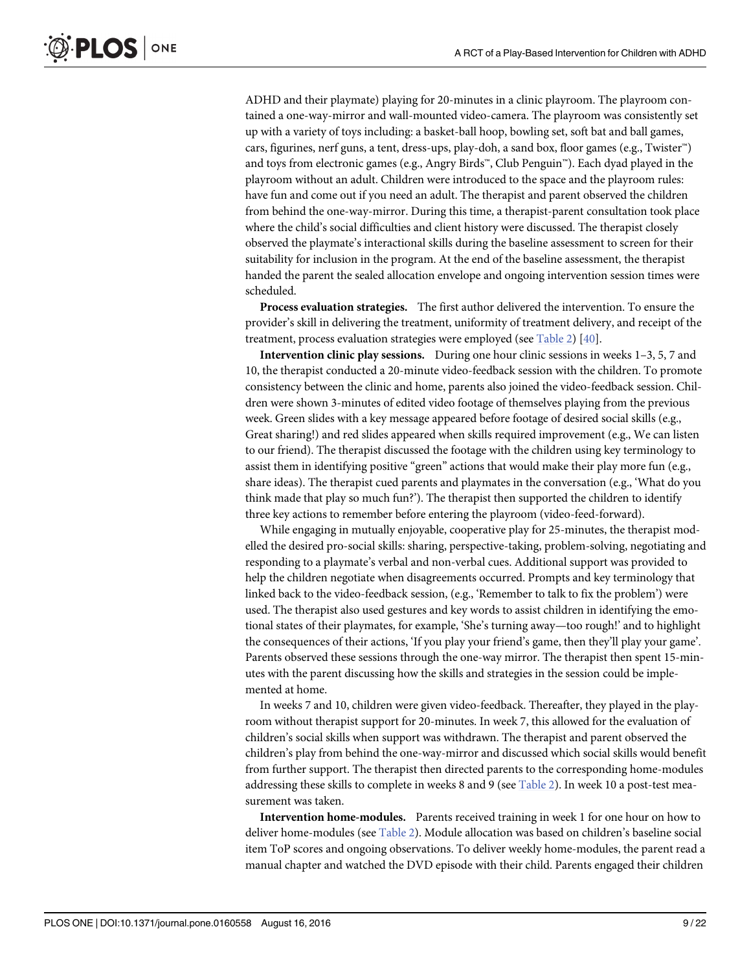<span id="page-8-0"></span>ADHD and their playmate) playing for 20-minutes in a clinic playroom. The playroom contained a one-way-mirror and wall-mounted video-camera. The playroom was consistently set up with a variety of toys including: a basket-ball hoop, bowling set, soft bat and ball games, cars, figurines, nerf guns, a tent, dress-ups, play-doh, a sand box, floor games (e.g., Twister™) and toys from electronic games (e.g., Angry Birds™, Club Penguin™). Each dyad played in the playroom without an adult. Children were introduced to the space and the playroom rules: have fun and come out if you need an adult. The therapist and parent observed the children from behind the one-way-mirror. During this time, a therapist-parent consultation took place where the child's social difficulties and client history were discussed. The therapist closely observed the playmate's interactional skills during the baseline assessment to screen for their suitability for inclusion in the program. At the end of the baseline assessment, the therapist handed the parent the sealed allocation envelope and ongoing intervention session times were scheduled.

Process evaluation strategies. The first author delivered the intervention. To ensure the provider's skill in delivering the treatment, uniformity of treatment delivery, and receipt of the treatment, process evaluation strategies were employed (see [Table 2\)](#page-9-0) [[40](#page-20-0)].

**Intervention clinic play sessions.** During one hour clinic sessions in weeks  $1-3$ ,  $5$ ,  $7$  and 10, the therapist conducted a 20-minute video-feedback session with the children. To promote consistency between the clinic and home, parents also joined the video-feedback session. Children were shown 3-minutes of edited video footage of themselves playing from the previous week. Green slides with a key message appeared before footage of desired social skills (e.g., Great sharing!) and red slides appeared when skills required improvement (e.g., We can listen to our friend). The therapist discussed the footage with the children using key terminology to assist them in identifying positive "green" actions that would make their play more fun (e.g., share ideas). The therapist cued parents and playmates in the conversation (e.g., 'What do you think made that play so much fun?'). The therapist then supported the children to identify three key actions to remember before entering the playroom (video-feed-forward).

While engaging in mutually enjoyable, cooperative play for 25-minutes, the therapist modelled the desired pro-social skills: sharing, perspective-taking, problem-solving, negotiating and responding to a playmate's verbal and non-verbal cues. Additional support was provided to help the children negotiate when disagreements occurred. Prompts and key terminology that linked back to the video-feedback session, (e.g., 'Remember to talk to fix the problem') were used. The therapist also used gestures and key words to assist children in identifying the emotional states of their playmates, for example, 'She's turning away—too rough!' and to highlight the consequences of their actions, 'If you play your friend's game, then they'll play your game'. Parents observed these sessions through the one-way mirror. The therapist then spent 15-minutes with the parent discussing how the skills and strategies in the session could be implemented at home.

In weeks 7 and 10, children were given video-feedback. Thereafter, they played in the playroom without therapist support for 20-minutes. In week 7, this allowed for the evaluation of children's social skills when support was withdrawn. The therapist and parent observed the children's play from behind the one-way-mirror and discussed which social skills would benefit from further support. The therapist then directed parents to the corresponding home-modules addressing these skills to complete in weeks 8 and 9 (see [Table 2](#page-9-0)). In week 10 a post-test measurement was taken.

Intervention home-modules. Parents received training in week 1 for one hour on how to deliver home-modules (see [Table 2](#page-9-0)). Module allocation was based on children's baseline social item ToP scores and ongoing observations. To deliver weekly home-modules, the parent read a manual chapter and watched the DVD episode with their child. Parents engaged their children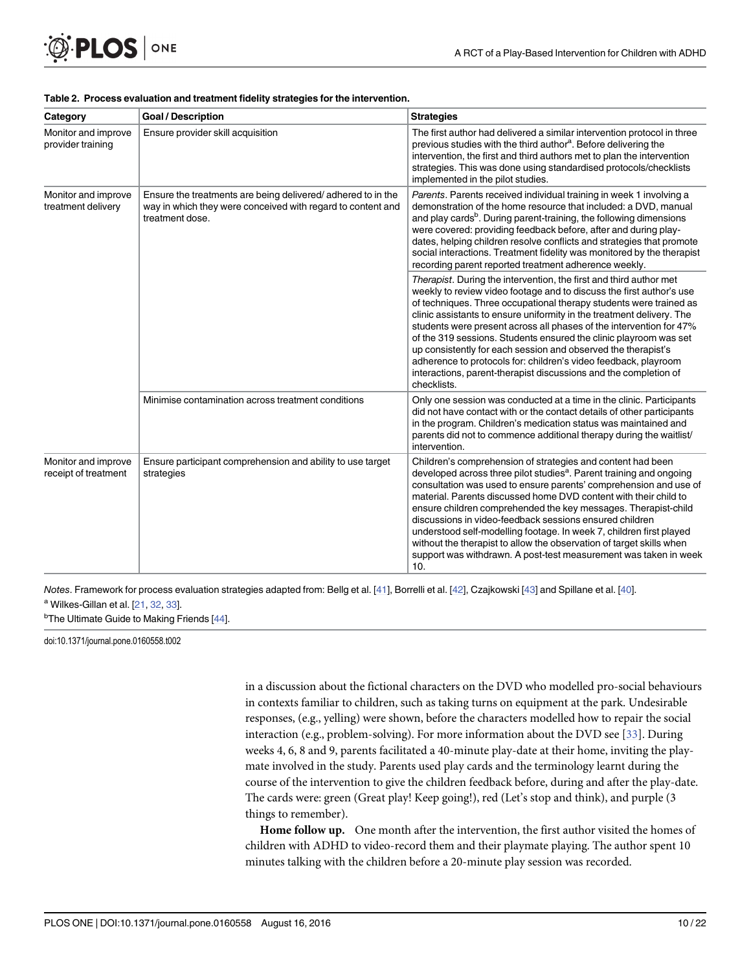| Category                                    | <b>Goal / Description</b>                                                                                                                     | <b>Strategies</b>                                                                                                                                                                                                                                                                                                                                                                                                                                                                                                                                                                                                                                            |  |  |  |  |
|---------------------------------------------|-----------------------------------------------------------------------------------------------------------------------------------------------|--------------------------------------------------------------------------------------------------------------------------------------------------------------------------------------------------------------------------------------------------------------------------------------------------------------------------------------------------------------------------------------------------------------------------------------------------------------------------------------------------------------------------------------------------------------------------------------------------------------------------------------------------------------|--|--|--|--|
| Monitor and improve<br>provider training    | Ensure provider skill acquisition                                                                                                             | The first author had delivered a similar intervention protocol in three<br>previous studies with the third author <sup>a</sup> . Before delivering the<br>intervention, the first and third authors met to plan the intervention<br>strategies. This was done using standardised protocols/checklists<br>implemented in the pilot studies.                                                                                                                                                                                                                                                                                                                   |  |  |  |  |
| Monitor and improve<br>treatment delivery   | Ensure the treatments are being delivered/adhered to in the<br>way in which they were conceived with regard to content and<br>treatment dose. | Parents. Parents received individual training in week 1 involving a<br>demonstration of the home resource that included: a DVD, manual<br>and play cards <sup>b</sup> . During parent-training, the following dimensions<br>were covered: providing feedback before, after and during play-<br>dates, helping children resolve conflicts and strategies that promote<br>social interactions. Treatment fidelity was monitored by the therapist<br>recording parent reported treatment adherence weekly.                                                                                                                                                      |  |  |  |  |
|                                             |                                                                                                                                               | Therapist. During the intervention, the first and third author met<br>weekly to review video footage and to discuss the first author's use<br>of techniques. Three occupational therapy students were trained as<br>clinic assistants to ensure uniformity in the treatment delivery. The<br>students were present across all phases of the intervention for 47%<br>of the 319 sessions. Students ensured the clinic playroom was set<br>up consistently for each session and observed the therapist's<br>adherence to protocols for: children's video feedback, playroom<br>interactions, parent-therapist discussions and the completion of<br>checklists. |  |  |  |  |
|                                             | Minimise contamination across treatment conditions                                                                                            | Only one session was conducted at a time in the clinic. Participants<br>did not have contact with or the contact details of other participants<br>in the program. Children's medication status was maintained and<br>parents did not to commence additional therapy during the waitlist/<br>intervention.                                                                                                                                                                                                                                                                                                                                                    |  |  |  |  |
| Monitor and improve<br>receipt of treatment | Ensure participant comprehension and ability to use target<br>strategies                                                                      | Children's comprehension of strategies and content had been<br>developed across three pilot studies <sup>a</sup> . Parent training and ongoing<br>consultation was used to ensure parents' comprehension and use of<br>material. Parents discussed home DVD content with their child to<br>ensure children comprehended the key messages. Therapist-child<br>discussions in video-feedback sessions ensured children<br>understood self-modelling footage. In week 7, children first played<br>without the therapist to allow the observation of target skills when<br>support was withdrawn. A post-test measurement was taken in week<br>10.               |  |  |  |  |

#### <span id="page-9-0"></span>[Table 2.](#page-8-0) Process evaluation and treatment fidelity strategies for the intervention.

Notes. Framework for process evaluation strategies adapted from: Bellg et al. [[41\]](#page-20-0), Borrelli et al. [[42\]](#page-20-0), Czajkowski [[43](#page-20-0)] and Spillane et al. [\[40\]](#page-20-0). a Wilkes-Gillan et al. [[21,](#page-19-0) [32](#page-20-0), [33](#page-20-0)].

<sup>b</sup>The Ultimate Guide to Making Friends [[44](#page-20-0)].

doi:10.1371/journal.pone.0160558.t002

in a discussion about the fictional characters on the DVD who modelled pro-social behaviours in contexts familiar to children, such as taking turns on equipment at the park. Undesirable responses, (e.g., yelling) were shown, before the characters modelled how to repair the social interaction (e.g., problem-solving). For more information about the DVD see [[33](#page-20-0)]. During weeks 4, 6, 8 and 9, parents facilitated a 40-minute play-date at their home, inviting the playmate involved in the study. Parents used play cards and the terminology learnt during the course of the intervention to give the children feedback before, during and after the play-date. The cards were: green (Great play! Keep going!), red (Let's stop and think), and purple (3 things to remember).

Home follow up. One month after the intervention, the first author visited the homes of children with ADHD to video-record them and their playmate playing. The author spent 10 minutes talking with the children before a 20-minute play session was recorded.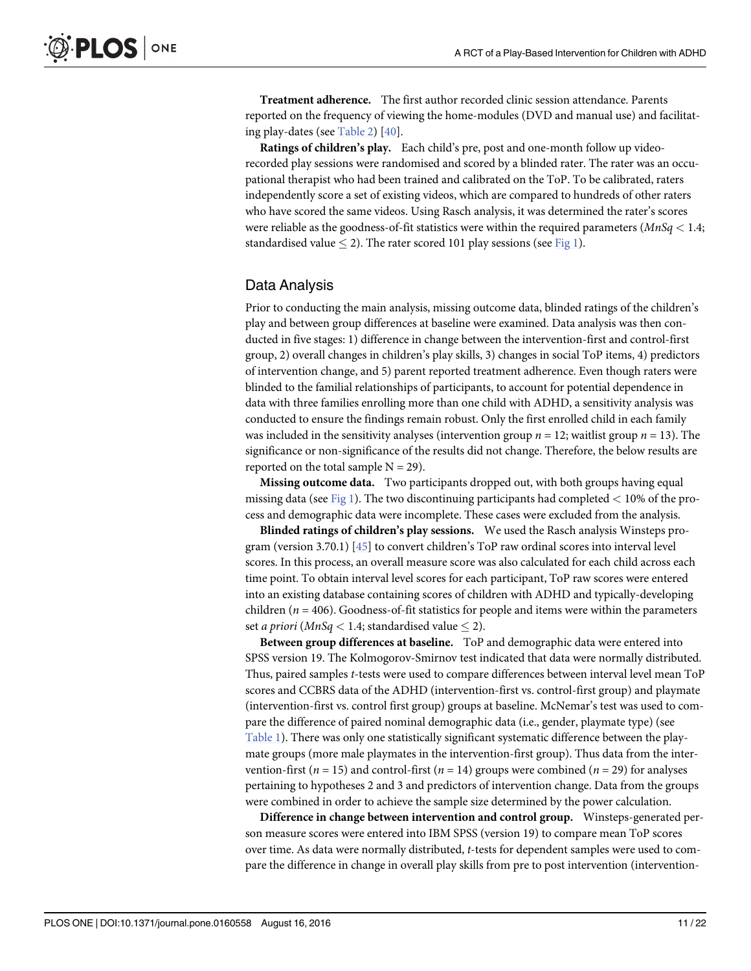<span id="page-10-0"></span>Treatment adherence. The first author recorded clinic session attendance. Parents reported on the frequency of viewing the home-modules (DVD and manual use) and facilitating play-dates (see [Table 2](#page-9-0)) [[40](#page-20-0)].

Ratings of children's play. Each child's pre, post and one-month follow up videorecorded play sessions were randomised and scored by a blinded rater. The rater was an occupational therapist who had been trained and calibrated on the ToP. To be calibrated, raters independently score a set of existing videos, which are compared to hundreds of other raters who have scored the same videos. Using Rasch analysis, it was determined the rater's scores were reliable as the goodness-of-fit statistics were within the required parameters ( $MnSq < 1.4$ ; standardised value  $\leq$  2). The rater scored 101 play sessions (see [Fig 1\)](#page-5-0).

#### Data Analysis

Prior to conducting the main analysis, missing outcome data, blinded ratings of the children's play and between group differences at baseline were examined. Data analysis was then conducted in five stages: 1) difference in change between the intervention-first and control-first group, 2) overall changes in children's play skills, 3) changes in social ToP items, 4) predictors of intervention change, and 5) parent reported treatment adherence. Even though raters were blinded to the familial relationships of participants, to account for potential dependence in data with three families enrolling more than one child with ADHD, a sensitivity analysis was conducted to ensure the findings remain robust. Only the first enrolled child in each family was included in the sensitivity analyses (intervention group  $n = 12$ ; waitlist group  $n = 13$ ). The significance or non-significance of the results did not change. Therefore, the below results are reported on the total sample  $N = 29$ ).

Missing outcome data. Two participants dropped out, with both groups having equal missing data (see [Fig 1](#page-5-0)). The two discontinuing participants had completed  $<$  10% of the process and demographic data were incomplete. These cases were excluded from the analysis.

Blinded ratings of children's play sessions. We used the Rasch analysis Winsteps program (version 3.70.1) [\[45\]](#page-20-0) to convert children's ToP raw ordinal scores into interval level scores. In this process, an overall measure score was also calculated for each child across each time point. To obtain interval level scores for each participant, ToP raw scores were entered into an existing database containing scores of children with ADHD and typically-developing children ( $n = 406$ ). Goodness-of-fit statistics for people and items were within the parameters set a priori ( $MnSq < 1.4$ ; standardised value  $\leq 2$ ).

Between group differences at baseline. ToP and demographic data were entered into SPSS version 19. The Kolmogorov-Smirnov test indicated that data were normally distributed. Thus, paired samples t-tests were used to compare differences between interval level mean ToP scores and CCBRS data of the ADHD (intervention-first vs. control-first group) and playmate (intervention-first vs. control first group) groups at baseline. McNemar's test was used to compare the difference of paired nominal demographic data (i.e., gender, playmate type) (see [Table 1](#page-6-0)). There was only one statistically significant systematic difference between the playmate groups (more male playmates in the intervention-first group). Thus data from the intervention-first ( $n = 15$ ) and control-first ( $n = 14$ ) groups were combined ( $n = 29$ ) for analyses pertaining to hypotheses 2 and 3 and predictors of intervention change. Data from the groups were combined in order to achieve the sample size determined by the power calculation.

Difference in change between intervention and control group. Winsteps-generated person measure scores were entered into IBM SPSS (version 19) to compare mean ToP scores over time. As data were normally distributed, t-tests for dependent samples were used to compare the difference in change in overall play skills from pre to post intervention (intervention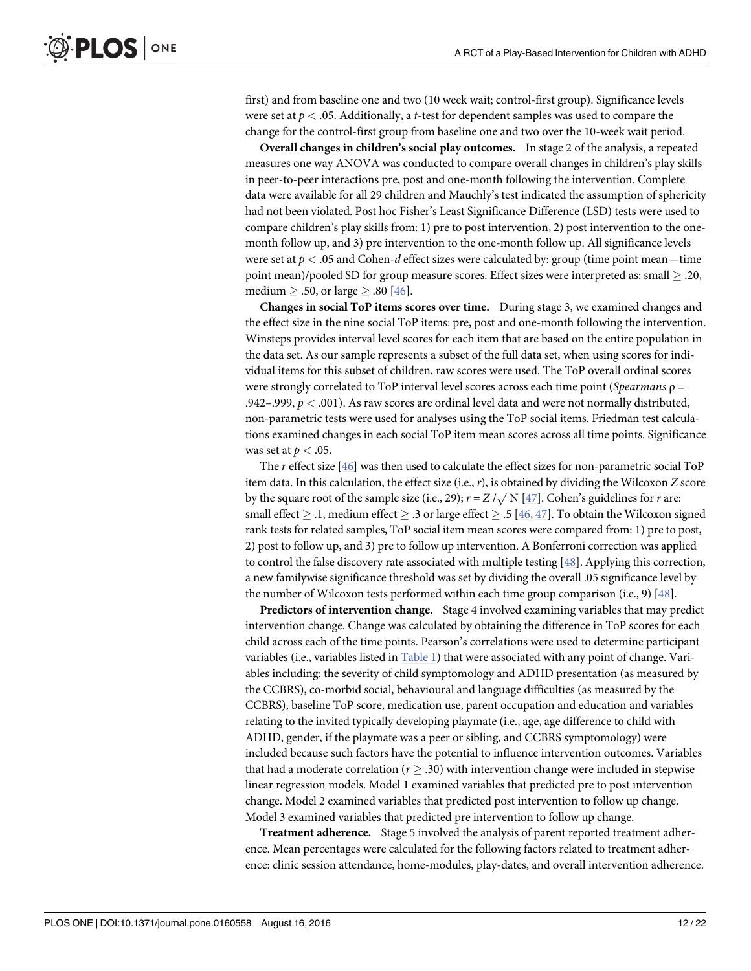<span id="page-11-0"></span>first) and from baseline one and two (10 week wait; control-first group). Significance levels were set at  $p < .05$ . Additionally, a t-test for dependent samples was used to compare the change for the control-first group from baseline one and two over the 10-week wait period.

Overall changes in children's social play outcomes. In stage 2 of the analysis, a repeated measures one way ANOVA was conducted to compare overall changes in children's play skills in peer-to-peer interactions pre, post and one-month following the intervention. Complete data were available for all 29 children and Mauchly's test indicated the assumption of sphericity had not been violated. Post hoc Fisher's Least Significance Difference (LSD) tests were used to compare children's play skills from: 1) pre to post intervention, 2) post intervention to the onemonth follow up, and 3) pre intervention to the one-month follow up. All significance levels were set at  $p < .05$  and Cohen-d effect sizes were calculated by: group (time point mean—time point mean)/pooled SD for group measure scores. Effect sizes were interpreted as: small  $\geq$  .20, medium  $> .50$ , or large  $> .80$  [\[46](#page-20-0)].

Changes in social ToP items scores over time. During stage 3, we examined changes and the effect size in the nine social ToP items: pre, post and one-month following the intervention. Winsteps provides interval level scores for each item that are based on the entire population in the data set. As our sample represents a subset of the full data set, when using scores for individual items for this subset of children, raw scores were used. The ToP overall ordinal scores were strongly correlated to ToP interval level scores across each time point (Spearmans  $\rho$  = .942–.999,  $p < .001$ ). As raw scores are ordinal level data and were not normally distributed, non-parametric tests were used for analyses using the ToP social items. Friedman test calculations examined changes in each social ToP item mean scores across all time points. Significance was set at  $p < .05$ .

The  $r$  effect size  $[46]$  $[46]$  $[46]$  was then used to calculate the effect sizes for non-parametric social ToP item data. In this calculation, the effect size (i.e.,  $r$ ), is obtained by dividing the Wilcoxon Z score by the square root of the sample size (i.e., 29);  $r = Z/\sqrt{N}$  [[47](#page-20-0)]. Cohen's guidelines for r are: small effect  $\geq$  .1, medium effect  $\geq$  .3 or large effect  $\geq$  .5 [[46](#page-20-0), [47](#page-20-0)]. To obtain the Wilcoxon signed rank tests for related samples, ToP social item mean scores were compared from: 1) pre to post, 2) post to follow up, and 3) pre to follow up intervention. A Bonferroni correction was applied to control the false discovery rate associated with multiple testing [\[48\]](#page-20-0). Applying this correction, a new familywise significance threshold was set by dividing the overall .05 significance level by the number of Wilcoxon tests performed within each time group comparison (i.e., 9)  $[48]$  $[48]$  $[48]$ .

Predictors of intervention change. Stage 4 involved examining variables that may predict intervention change. Change was calculated by obtaining the difference in ToP scores for each child across each of the time points. Pearson's correlations were used to determine participant variables (i.e., variables listed in [Table 1](#page-6-0)) that were associated with any point of change. Variables including: the severity of child symptomology and ADHD presentation (as measured by the CCBRS), co-morbid social, behavioural and language difficulties (as measured by the CCBRS), baseline ToP score, medication use, parent occupation and education and variables relating to the invited typically developing playmate (i.e., age, age difference to child with ADHD, gender, if the playmate was a peer or sibling, and CCBRS symptomology) were included because such factors have the potential to influence intervention outcomes. Variables that had a moderate correlation ( $r \geq .30$ ) with intervention change were included in stepwise linear regression models. Model 1 examined variables that predicted pre to post intervention change. Model 2 examined variables that predicted post intervention to follow up change. Model 3 examined variables that predicted pre intervention to follow up change.

Treatment adherence. Stage 5 involved the analysis of parent reported treatment adherence. Mean percentages were calculated for the following factors related to treatment adherence: clinic session attendance, home-modules, play-dates, and overall intervention adherence.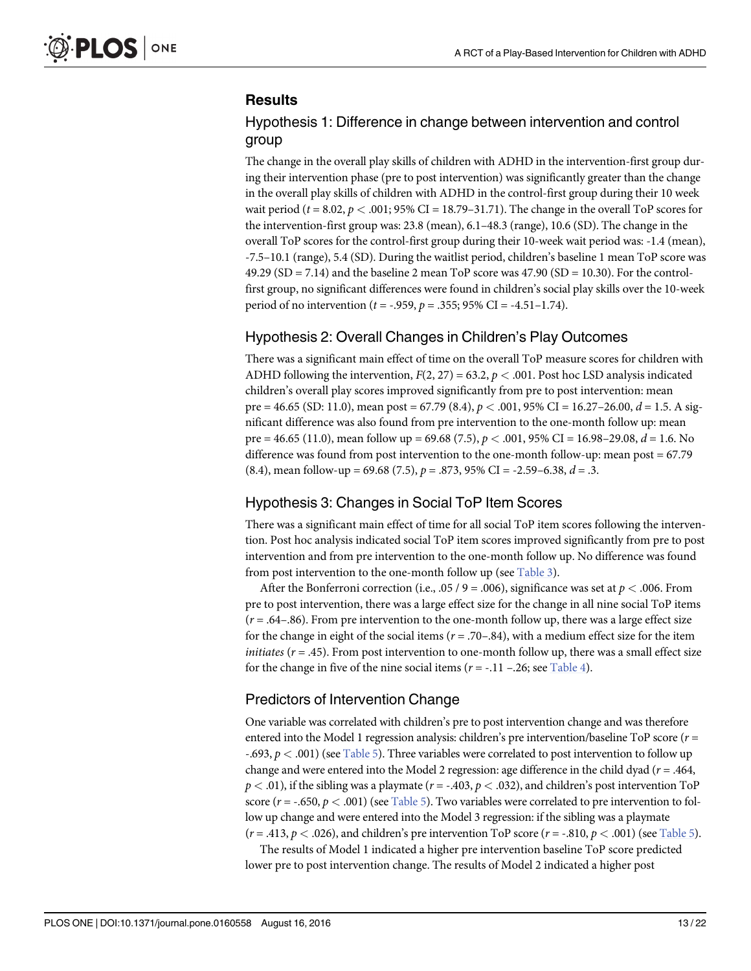## <span id="page-12-0"></span>**Results**

## Hypothesis 1: Difference in change between intervention and control group

The change in the overall play skills of children with ADHD in the intervention-first group during their intervention phase (pre to post intervention) was significantly greater than the change in the overall play skills of children with ADHD in the control-first group during their 10 week wait period ( $t = 8.02$ ,  $p < .001$ ; 95% CI = 18.79–31.71). The change in the overall ToP scores for the intervention-first group was: 23.8 (mean), 6.1–48.3 (range), 10.6 (SD). The change in the overall ToP scores for the control-first group during their 10-week wait period was: -1.4 (mean), -7.5–10.1 (range), 5.4 (SD). During the waitlist period, children's baseline 1 mean ToP score was 49.29 (SD = 7.14) and the baseline 2 mean ToP score was 47.90 (SD = 10.30). For the controlfirst group, no significant differences were found in children's social play skills over the 10-week period of no intervention ( $t = -0.959$ ,  $p = 0.355$ ; 95% CI =  $-4.51 - 1.74$ ).

## Hypothesis 2: Overall Changes in Children's Play Outcomes

There was a significant main effect of time on the overall ToP measure scores for children with ADHD following the intervention,  $F(2, 27) = 63.2$ ,  $p < .001$ . Post hoc LSD analysis indicated children's overall play scores improved significantly from pre to post intervention: mean pre = 46.65 (SD: 11.0), mean post = 67.79 (8.4),  $p < .001$ , 95% CI = 16.27–26.00,  $d = 1.5$ . A significant difference was also found from pre intervention to the one-month follow up: mean pre = 46.65 (11.0), mean follow up = 69.68 (7.5),  $p < .001$ , 95% CI = 16.98-29.08,  $d = 1.6$ . No difference was found from post intervention to the one-month follow-up: mean post = 67.79 (8.4), mean follow-up = 69.68 (7.5),  $p = .873$ , 95% CI = -2.59–6.38,  $d = .3$ .

## Hypothesis 3: Changes in Social ToP Item Scores

There was a significant main effect of time for all social ToP item scores following the intervention. Post hoc analysis indicated social ToP item scores improved significantly from pre to post intervention and from pre intervention to the one-month follow up. No difference was found from post intervention to the one-month follow up (see [Table 3\)](#page-13-0).

After the Bonferroni correction (i.e., .05 / 9 = .006), significance was set at  $p < .006$ . From pre to post intervention, there was a large effect size for the change in all nine social ToP items  $(r = .64–.86)$ . From pre intervention to the one-month follow up, there was a large effect size for the change in eight of the social items  $(r = .70-.84)$ , with a medium effect size for the item *initiates* ( $r = .45$ ). From post intervention to one-month follow up, there was a small effect size for the change in five of the nine social items  $(r = -.11 - .26)$ ; see [Table 4\)](#page-13-0).

## Predictors of Intervention Change

One variable was correlated with children's pre to post intervention change and was therefore entered into the Model 1 regression analysis: children's pre intervention/baseline ToP score ( $r =$ -.693,  $p < .001$ ) (see [Table 5](#page-14-0)). Three variables were correlated to post intervention to follow up change and were entered into the Model 2 regression: age difference in the child dyad ( $r = .464$ ,  $p < .01$ ), if the sibling was a playmate ( $r = .403$ ,  $p < .032$ ), and children's post intervention ToP score ( $r = -0.650$ ,  $p < 0.001$ ) (see [Table 5\)](#page-14-0). Two variables were correlated to pre intervention to follow up change and were entered into the Model 3 regression: if the sibling was a playmate  $(r = .413, p < .026)$ , and children's pre intervention ToP score  $(r = .810, p < .001)$  (see [Table 5](#page-14-0)).

The results of Model 1 indicated a higher pre intervention baseline ToP score predicted lower pre to post intervention change. The results of Model 2 indicated a higher post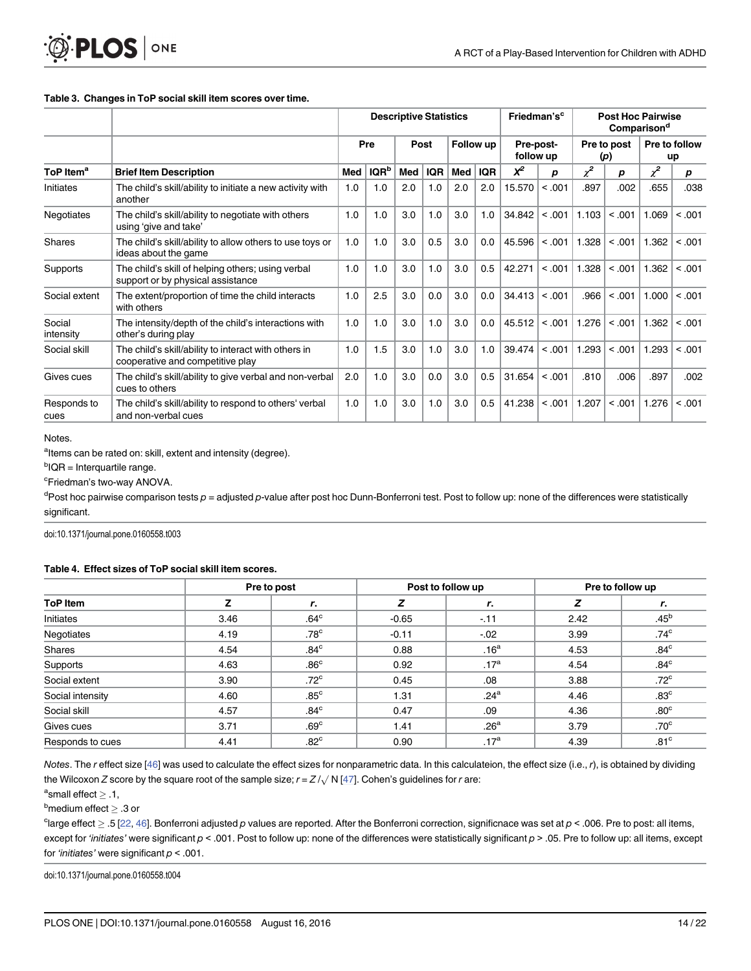#### <span id="page-13-0"></span>[Table 3.](#page-12-0) Changes in ToP social skill item scores over time.

|                       |                                                                                          | <b>Descriptive Statistics</b> |                  |      |            | Friedman's <sup>c</sup> |            | <b>Post Hoc Pairwise</b><br>Comparison <sup>d</sup> |         |                    |         |                     |         |
|-----------------------|------------------------------------------------------------------------------------------|-------------------------------|------------------|------|------------|-------------------------|------------|-----------------------------------------------------|---------|--------------------|---------|---------------------|---------|
|                       |                                                                                          | Pre                           |                  | Post |            | Follow up               |            | Pre-post-<br>follow up                              |         | Pre to post<br>(p) |         | Pre to follow<br>up |         |
| ToP Item <sup>a</sup> | <b>Brief Item Description</b>                                                            | Med                           | IQR <sup>b</sup> | Med  | <b>IQR</b> | Med                     | <b>IQR</b> | $x^2$                                               | р       | $\chi^2$           | p       | $\chi^2$            | p       |
| Initiates             | The child's skill/ability to initiate a new activity with<br>another                     | 1.0                           | 1.0              | 2.0  | 1.0        | 2.0                     | 2.0        | 15.570                                              | < 0.001 | .897               | .002    | .655                | .038    |
| Negotiates            | The child's skill/ability to negotiate with others<br>using 'give and take'              | 1.0                           | 1.0              | 3.0  | 1.0        | 3.0                     | 1.0        | 34.842                                              | < 0.001 | 1.103              | < 0.001 | 1.069               | < 0.001 |
| <b>Shares</b>         | The child's skill/ability to allow others to use toys or<br>ideas about the game         |                               | 1.0              | 3.0  | 0.5        | 3.0                     | 0.0        | 45.596                                              | < 0.001 | 1.328              | < 0.001 | 1.362               | < 0.001 |
| Supports              | The child's skill of helping others; using verbal<br>support or by physical assistance   | 1.0                           | 1.0              | 3.0  | 1.0        | 3.0                     | 0.5        | 42.271                                              | < .001  | 1.328              | < 0.01  | 1.362               | < 0.01  |
| Social extent         | The extent/proportion of time the child interacts<br>with others                         | 1.0                           | 2.5              | 3.0  | 0.0        | 3.0                     | 0.0        | 34.413                                              | < 0.01  | .966               | < 0.01  | 1.000               | < 0.01  |
| Social<br>intensity   | The intensity/depth of the child's interactions with<br>other's during play              | 1.0                           | 1.0              | 3.0  | 1.0        | 3.0                     | 0.0        | 45.512                                              | < 0.001 | 1.276              | < 0.01  | 1.362               | < .001  |
| Social skill          | The child's skill/ability to interact with others in<br>cooperative and competitive play | 1.0                           | 1.5              | 3.0  | 1.0        | 3.0                     | 1.0        | 39.474                                              | < 0.001 | 1.293              | < 0.001 | 1.293               | < .001  |
| Gives cues            | The child's skill/ability to give verbal and non-verbal<br>cues to others                | 2.0                           | 1.0              | 3.0  | 0.0        | 3.0                     | 0.5        | 31.654                                              | < 0.01  | .810               | .006    | .897                | .002    |
| Responds to<br>cues   | The child's skill/ability to respond to others' verbal<br>and non-verbal cues            | 1.0                           | 1.0              | 3.0  | 1.0        | 3.0                     | 0.5        | 41.238                                              | < 0.001 | 1.207              | < 0.001 | 1.276               | < 0.01  |

Notes.

altems can be rated on: skill, extent and intensity (degree).

<sup>b</sup>IQR = Interquartile range.

<sup>c</sup>Friedman's two-way ANOVA.

<sup>d</sup>Post hoc pairwise comparison tests  $p$  = adjusted p-value after post hoc Dunn-Bonferroni test. Post to follow up: none of the differences were statistically significant.

doi:10.1371/journal.pone.0160558.t003

#### [Table 4.](#page-12-0) Effect sizes of ToP social skill item scores.

|                  | Pre to post |                  |         | Post to follow up | Pre to follow up |                  |  |
|------------------|-------------|------------------|---------|-------------------|------------------|------------------|--|
| ToP Item         | z           | r.               | z       | r.                |                  | r.               |  |
| Initiates        | 3.46        | .64 <sup>c</sup> | $-0.65$ | $-11$             | 2.42             | .45 <sup>b</sup> |  |
| Negotiates       | 4.19        | .78 <sup>c</sup> | $-0.11$ | $-.02$            | 3.99             | .74 <sup>c</sup> |  |
| Shares           | 4.54        | .84 <sup>c</sup> | 0.88    | .16 <sup>a</sup>  | 4.53             | .84 <sup>c</sup> |  |
| Supports         | 4.63        | .86 <sup>c</sup> | 0.92    | .17 <sup>a</sup>  | 4.54             | .84 <sup>c</sup> |  |
| Social extent    | 3.90        | $.72^{\circ}$    | 0.45    | .08               | 3.88             | .72 <sup>c</sup> |  |
| Social intensity | 4.60        | .85 <sup>c</sup> | 1.31    | .24 <sup>a</sup>  | 4.46             | .83 <sup>c</sup> |  |
| Social skill     | 4.57        | .84 <sup>c</sup> | 0.47    | .09               | 4.36             | .80 <sup>c</sup> |  |
| Gives cues       | 3.71        | .69 <sup>c</sup> | 1.41    | .26 <sup>a</sup>  | 3.79             | .70 <sup>c</sup> |  |
| Responds to cues | 4.41        | $.82^{\circ}$    | 0.90    | .17 <sup>a</sup>  | 4.39             | .81 <sup>c</sup> |  |

Notes. The r effect size [[46\]](#page-20-0) was used to calculate the effect sizes for nonparametric data. In this calculateion, the effect size (i.e., r), is obtained by dividing the Wilcoxon Z score by the square root of the sample size;  $r = Z/\sqrt{N}$  [[47\]](#page-20-0). Cohen's guidelines for r are:

<sup>a</sup>small effect  $\geq$  .1,

 $^{\rm b}$ medium effect  $\geq .3$  or

<sup>c</sup>large effect  $\geq$  .5 [\[22,](#page-19-0) [46\]](#page-20-0). Bonferroni adjusted p values are reported. After the Bonferroni correction, significnace was set at p < .006. Pre to post: all items, except for 'initiates' were significant  $p < 0.01$ . Post to follow up: none of the differences were statistically significant  $p > 0.05$ . Pre to follow up: all items, except for 'initiates' were significant  $p < .001$ .

doi:10.1371/journal.pone.0160558.t004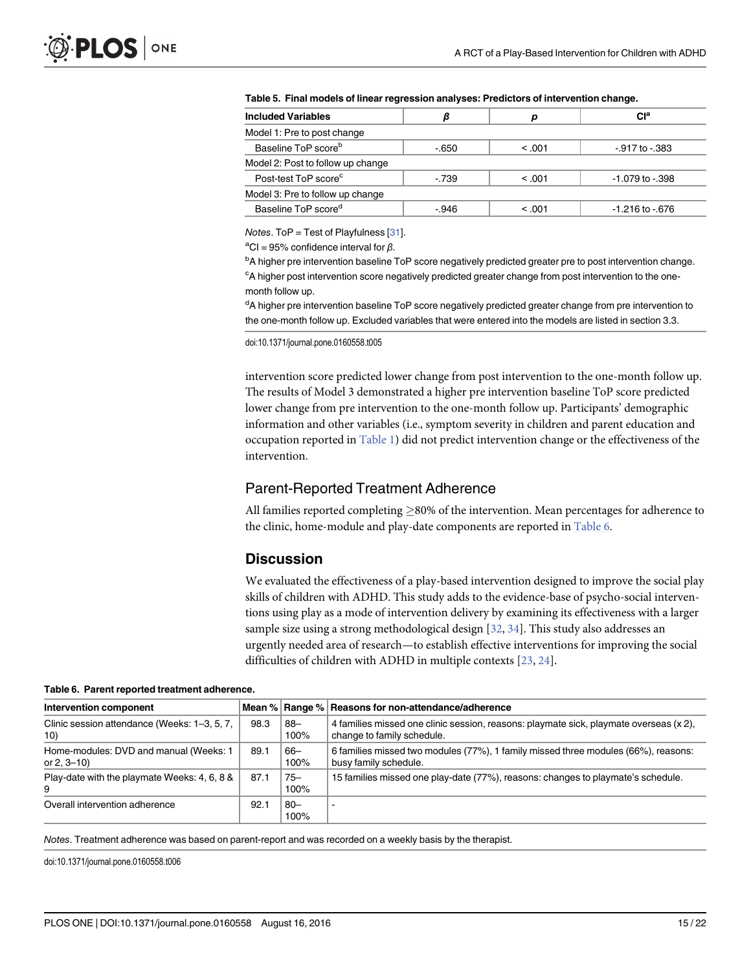| <b>Included Variables</b>         | β      | р                         | Cl <sup>a</sup>    |
|-----------------------------------|--------|---------------------------|--------------------|
| Model 1: Pre to post change       |        |                           |                    |
| Baseline ToP score <sup>b</sup>   | $-650$ | < 0.01                    | $-917$ to $-383$   |
| Model 2: Post to follow up change |        |                           |                    |
| Post-test ToP score <sup>c</sup>  | $-739$ | < 0.01<br>-1.079 to -.398 |                    |
| Model 3: Pre to follow up change  |        |                           |                    |
| Baseline ToP score <sup>d</sup>   | $-946$ | < 0.01                    | $-1.216$ to $-676$ |
|                                   |        |                           |                    |

#### <span id="page-14-0"></span>[Table 5.](#page-12-0) Final models of linear regression analyses: Predictors of intervention change.

Notes. ToP = Test of Playfulness  $[31]$  $[31]$ .

<sup>a</sup>CI = 95% confidence interval for  $β$ .

<sup>b</sup>A higher pre intervention baseline ToP score negatively predicted greater pre to post intervention change. <sup>c</sup>A higher post intervention score negatively predicted greater change from post intervention to the onemonth follow up.

<sup>d</sup>A higher pre intervention baseline ToP score negatively predicted greater change from pre intervention to the one-month follow up. Excluded variables that were entered into the models are listed in section 3.3.

doi:10.1371/journal.pone.0160558.t005

intervention score predicted lower change from post intervention to the one-month follow up. The results of Model 3 demonstrated a higher pre intervention baseline ToP score predicted lower change from pre intervention to the one-month follow up. Participants' demographic information and other variables (i.e., symptom severity in children and parent education and occupation reported in [Table 1](#page-6-0)) did not predict intervention change or the effectiveness of the intervention.

#### Parent-Reported Treatment Adherence

All families reported completing  $\geq$ 80% of the intervention. Mean percentages for adherence to the clinic, home-module and play-date components are reported in Table 6.

#### **Discussion**

We evaluated the effectiveness of a play-based intervention designed to improve the social play skills of children with ADHD. This study adds to the evidence-base of psycho-social interventions using play as a mode of intervention delivery by examining its effectiveness with a larger sample size using a strong methodological design [[32,](#page-20-0) [34\]](#page-20-0). This study also addresses an urgently needed area of research—to establish effective interventions for improving the social difficulties of children with ADHD in multiple contexts [\[23,](#page-19-0) [24\]](#page-19-0).

| Intervention component                                   |      |                | Mean % Range % Reasons for non-attendance/adherence                                                                  |
|----------------------------------------------------------|------|----------------|----------------------------------------------------------------------------------------------------------------------|
| Clinic session attendance (Weeks: 1–3, 5, 7,<br>10)      | 98.3 | $88 -$<br>100% | 4 families missed one clinic session, reasons: playmate sick, playmate overseas (x 2),<br>change to family schedule. |
| Home-modules: DVD and manual (Weeks: 1<br>or $2, 3 - 10$ | 89.1 | $66-$<br>100%  | 6 families missed two modules (77%), 1 family missed three modules (66%), reasons:<br>busy family schedule.          |
| Play-date with the playmate Weeks: 4, 6, 8 &<br>9        | 87.1 | $75 -$<br>100% | 15 families missed one play-date (77%), reasons: changes to playmate's schedule.                                     |
| Overall intervention adherence                           | 92.1 | $80 -$<br>100% |                                                                                                                      |

#### Table 6. Parent reported treatment adherence.

Notes. Treatment adherence was based on parent-report and was recorded on a weekly basis by the therapist.

doi:10.1371/journal.pone.0160558.t006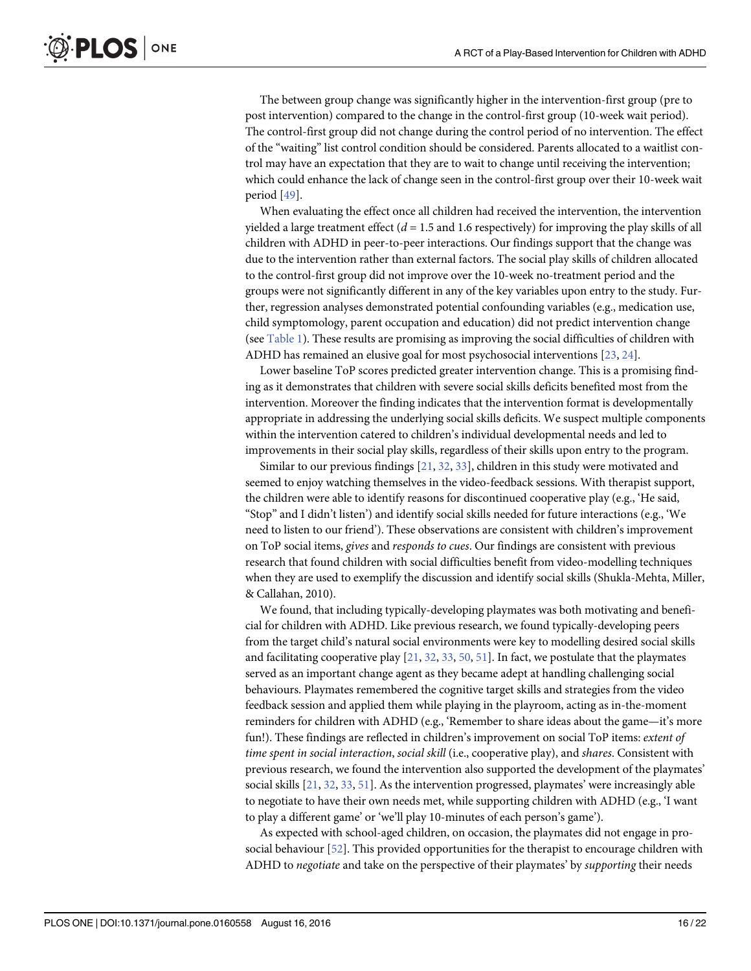<span id="page-15-0"></span>The between group change was significantly higher in the intervention-first group (pre to post intervention) compared to the change in the control-first group (10-week wait period). The control-first group did not change during the control period of no intervention. The effect of the "waiting" list control condition should be considered. Parents allocated to a waitlist control may have an expectation that they are to wait to change until receiving the intervention; which could enhance the lack of change seen in the control-first group over their 10-week wait period [\[49](#page-20-0)].

When evaluating the effect once all children had received the intervention, the intervention yielded a large treatment effect  $(d = 1.5 \text{ and } 1.6 \text{ respectively})$  for improving the play skills of all children with ADHD in peer-to-peer interactions. Our findings support that the change was due to the intervention rather than external factors. The social play skills of children allocated to the control-first group did not improve over the 10-week no-treatment period and the groups were not significantly different in any of the key variables upon entry to the study. Further, regression analyses demonstrated potential confounding variables (e.g., medication use, child symptomology, parent occupation and education) did not predict intervention change (see [Table 1\)](#page-6-0). These results are promising as improving the social difficulties of children with ADHD has remained an elusive goal for most psychosocial interventions [\[23,](#page-19-0) [24\]](#page-19-0).

Lower baseline ToP scores predicted greater intervention change. This is a promising finding as it demonstrates that children with severe social skills deficits benefited most from the intervention. Moreover the finding indicates that the intervention format is developmentally appropriate in addressing the underlying social skills deficits. We suspect multiple components within the intervention catered to children's individual developmental needs and led to improvements in their social play skills, regardless of their skills upon entry to the program.

Similar to our previous findings  $[21, 32, 33]$  $[21, 32, 33]$  $[21, 32, 33]$  $[21, 32, 33]$  $[21, 32, 33]$ , children in this study were motivated and seemed to enjoy watching themselves in the video-feedback sessions. With therapist support, the children were able to identify reasons for discontinued cooperative play (e.g., 'He said, "Stop" and I didn't listen') and identify social skills needed for future interactions (e.g., 'We need to listen to our friend'). These observations are consistent with children's improvement on ToP social items, gives and responds to cues. Our findings are consistent with previous research that found children with social difficulties benefit from video-modelling techniques when they are used to exemplify the discussion and identify social skills (Shukla-Mehta, Miller, & Callahan, 2010).

We found, that including typically-developing playmates was both motivating and beneficial for children with ADHD. Like previous research, we found typically-developing peers from the target child's natural social environments were key to modelling desired social skills and facilitating cooperative play  $[21, 32, 33, 50, 51]$  $[21, 32, 33, 50, 51]$  $[21, 32, 33, 50, 51]$  $[21, 32, 33, 50, 51]$  $[21, 32, 33, 50, 51]$  $[21, 32, 33, 50, 51]$  $[21, 32, 33, 50, 51]$  $[21, 32, 33, 50, 51]$  $[21, 32, 33, 50, 51]$ . In fact, we postulate that the playmates served as an important change agent as they became adept at handling challenging social behaviours. Playmates remembered the cognitive target skills and strategies from the video feedback session and applied them while playing in the playroom, acting as in-the-moment reminders for children with ADHD (e.g., 'Remember to share ideas about the game—it's more fun!). These findings are reflected in children's improvement on social ToP items: extent of time spent in social interaction, social skill (i.e., cooperative play), and shares. Consistent with previous research, we found the intervention also supported the development of the playmates' social skills [[21,](#page-19-0) [32,](#page-20-0) [33,](#page-20-0) [51](#page-20-0)]. As the intervention progressed, playmates' were increasingly able to negotiate to have their own needs met, while supporting children with ADHD (e.g., 'I want to play a different game' or 'we'll play 10-minutes of each person's game').

As expected with school-aged children, on occasion, the playmates did not engage in prosocial behaviour  $[52]$ . This provided opportunities for the therapist to encourage children with ADHD to negotiate and take on the perspective of their playmates' by supporting their needs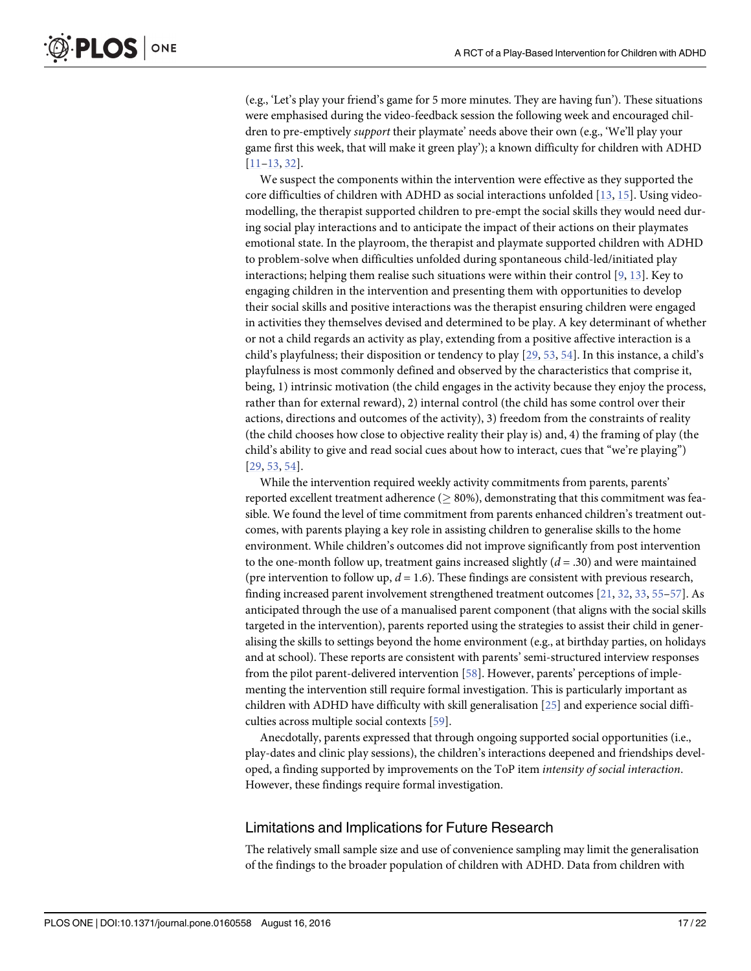<span id="page-16-0"></span>(e.g., 'Let's play your friend's game for 5 more minutes. They are having fun'). These situations were emphasised during the video-feedback session the following week and encouraged children to pre-emptively support their playmate' needs above their own (e.g., 'We'll play your game first this week, that will make it green play'); a known difficulty for children with ADHD [\[11](#page-19-0)–[13,](#page-19-0) [32\]](#page-20-0).

We suspect the components within the intervention were effective as they supported the core difficulties of children with ADHD as social interactions unfolded [\[13](#page-19-0), [15](#page-19-0)]. Using videomodelling, the therapist supported children to pre-empt the social skills they would need during social play interactions and to anticipate the impact of their actions on their playmates emotional state. In the playroom, the therapist and playmate supported children with ADHD to problem-solve when difficulties unfolded during spontaneous child-led/initiated play interactions; helping them realise such situations were within their control  $[9, 13]$  $[9, 13]$  $[9, 13]$  $[9, 13]$ . Key to engaging children in the intervention and presenting them with opportunities to develop their social skills and positive interactions was the therapist ensuring children were engaged in activities they themselves devised and determined to be play. A key determinant of whether or not a child regards an activity as play, extending from a positive affective interaction is a child's playfulness; their disposition or tendency to play [[29,](#page-20-0) [53,](#page-20-0) [54](#page-21-0)]. In this instance, a child's playfulness is most commonly defined and observed by the characteristics that comprise it, being, 1) intrinsic motivation (the child engages in the activity because they enjoy the process, rather than for external reward), 2) internal control (the child has some control over their actions, directions and outcomes of the activity), 3) freedom from the constraints of reality (the child chooses how close to objective reality their play is) and, 4) the framing of play (the child's ability to give and read social cues about how to interact, cues that "we're playing") [[29](#page-20-0), [53](#page-20-0), [54\]](#page-21-0).

While the intervention required weekly activity commitments from parents, parents' reported excellent treatment adherence ( $> 80\%$ ), demonstrating that this commitment was feasible. We found the level of time commitment from parents enhanced children's treatment outcomes, with parents playing a key role in assisting children to generalise skills to the home environment. While children's outcomes did not improve significantly from post intervention to the one-month follow up, treatment gains increased slightly  $(d = .30)$  and were maintained (pre intervention to follow up,  $d = 1.6$ ). These findings are consistent with previous research, finding increased parent involvement strengthened treatment outcomes [[21](#page-19-0), [32](#page-20-0), [33](#page-20-0), [55](#page-21-0)–[57\]](#page-21-0). As anticipated through the use of a manualised parent component (that aligns with the social skills targeted in the intervention), parents reported using the strategies to assist their child in generalising the skills to settings beyond the home environment (e.g., at birthday parties, on holidays and at school). These reports are consistent with parents' semi-structured interview responses from the pilot parent-delivered intervention [[58](#page-21-0)]. However, parents' perceptions of implementing the intervention still require formal investigation. This is particularly important as children with ADHD have difficulty with skill generalisation [[25](#page-19-0)] and experience social difficulties across multiple social contexts [\[59\]](#page-21-0).

Anecdotally, parents expressed that through ongoing supported social opportunities (i.e., play-dates and clinic play sessions), the children's interactions deepened and friendships developed, a finding supported by improvements on the ToP item intensity of social interaction. However, these findings require formal investigation.

#### Limitations and Implications for Future Research

The relatively small sample size and use of convenience sampling may limit the generalisation of the findings to the broader population of children with ADHD. Data from children with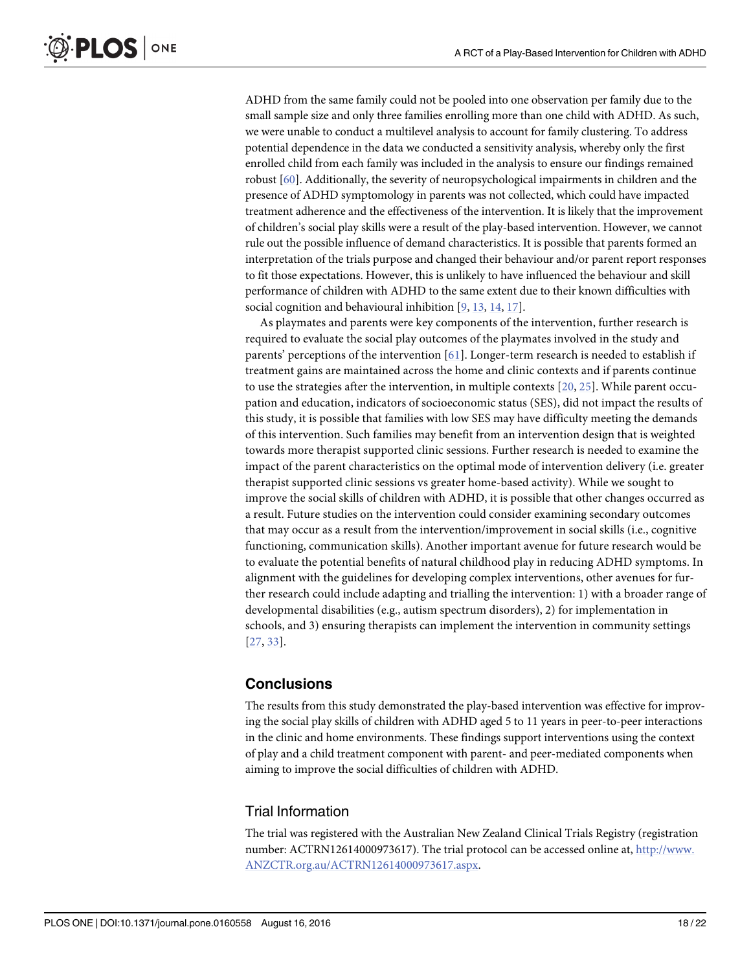<span id="page-17-0"></span>ADHD from the same family could not be pooled into one observation per family due to the small sample size and only three families enrolling more than one child with ADHD. As such, we were unable to conduct a multilevel analysis to account for family clustering. To address potential dependence in the data we conducted a sensitivity analysis, whereby only the first enrolled child from each family was included in the analysis to ensure our findings remained robust [\[60\]](#page-21-0). Additionally, the severity of neuropsychological impairments in children and the presence of ADHD symptomology in parents was not collected, which could have impacted treatment adherence and the effectiveness of the intervention. It is likely that the improvement of children's social play skills were a result of the play-based intervention. However, we cannot rule out the possible influence of demand characteristics. It is possible that parents formed an interpretation of the trials purpose and changed their behaviour and/or parent report responses to fit those expectations. However, this is unlikely to have influenced the behaviour and skill performance of children with ADHD to the same extent due to their known difficulties with social cognition and behavioural inhibition [\[9,](#page-19-0) [13,](#page-19-0) [14,](#page-19-0) [17\]](#page-19-0).

As playmates and parents were key components of the intervention, further research is required to evaluate the social play outcomes of the playmates involved in the study and parents' perceptions of the intervention  $[61]$  $[61]$  $[61]$ . Longer-term research is needed to establish if treatment gains are maintained across the home and clinic contexts and if parents continue to use the strategies after the intervention, in multiple contexts [\[20,](#page-19-0) [25](#page-19-0)]. While parent occupation and education, indicators of socioeconomic status (SES), did not impact the results of this study, it is possible that families with low SES may have difficulty meeting the demands of this intervention. Such families may benefit from an intervention design that is weighted towards more therapist supported clinic sessions. Further research is needed to examine the impact of the parent characteristics on the optimal mode of intervention delivery (i.e. greater therapist supported clinic sessions vs greater home-based activity). While we sought to improve the social skills of children with ADHD, it is possible that other changes occurred as a result. Future studies on the intervention could consider examining secondary outcomes that may occur as a result from the intervention/improvement in social skills (i.e., cognitive functioning, communication skills). Another important avenue for future research would be to evaluate the potential benefits of natural childhood play in reducing ADHD symptoms. In alignment with the guidelines for developing complex interventions, other avenues for further research could include adapting and trialling the intervention: 1) with a broader range of developmental disabilities (e.g., autism spectrum disorders), 2) for implementation in schools, and 3) ensuring therapists can implement the intervention in community settings [[27](#page-19-0), [33\]](#page-20-0).

### **Conclusions**

The results from this study demonstrated the play-based intervention was effective for improving the social play skills of children with ADHD aged 5 to 11 years in peer-to-peer interactions in the clinic and home environments. These findings support interventions using the context of play and a child treatment component with parent- and peer-mediated components when aiming to improve the social difficulties of children with ADHD.

## Trial Information

The trial was registered with the Australian New Zealand Clinical Trials Registry (registration number: ACTRN12614000973617). The trial protocol can be accessed online at, [http://www.](http://www.ANZCTR.org.au/ACTRN12614000973617.aspx) [ANZCTR.org.au/ACTRN12614000973617.aspx.](http://www.ANZCTR.org.au/ACTRN12614000973617.aspx)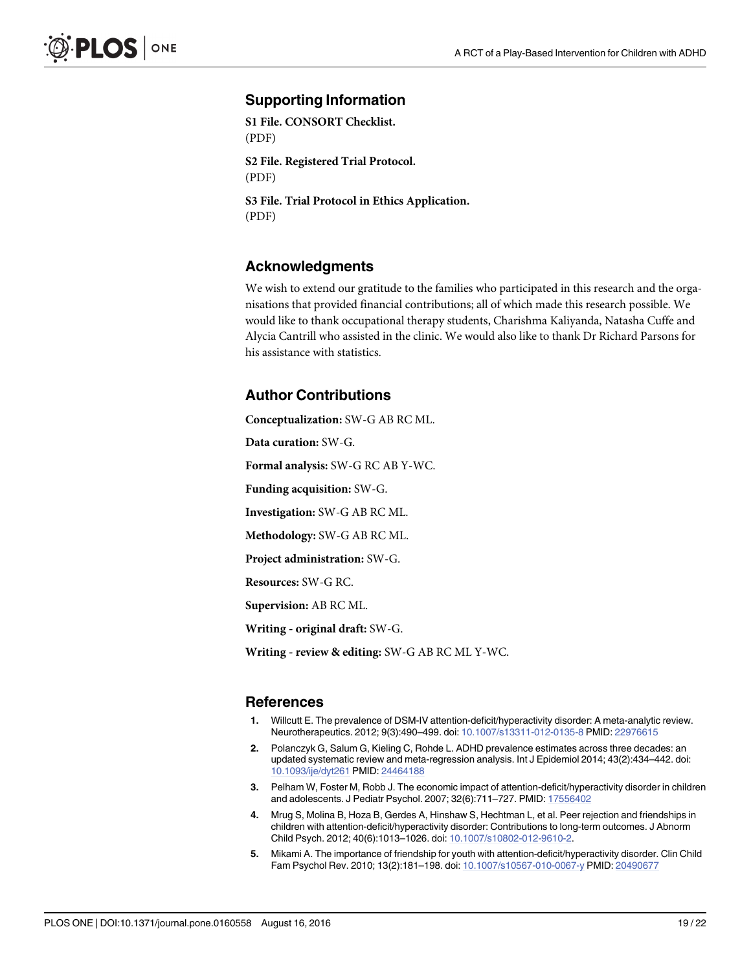## <span id="page-18-0"></span>Supporting Information

[S1 File.](http://www.plosone.org/article/fetchSingleRepresentation.action?uri=info:doi/10.1371/journal.pone.0160558.s001) CONSORT Checklist. (PDF) [S2 File.](http://www.plosone.org/article/fetchSingleRepresentation.action?uri=info:doi/10.1371/journal.pone.0160558.s002) Registered Trial Protocol. (PDF) [S3 File.](http://www.plosone.org/article/fetchSingleRepresentation.action?uri=info:doi/10.1371/journal.pone.0160558.s003) Trial Protocol in Ethics Application.

(PDF)

## Acknowledgments

We wish to extend our gratitude to the families who participated in this research and the organisations that provided financial contributions; all of which made this research possible. We would like to thank occupational therapy students, Charishma Kaliyanda, Natasha Cuffe and Alycia Cantrill who assisted in the clinic. We would also like to thank Dr Richard Parsons for his assistance with statistics.

## Author Contributions

Conceptualization: SW-G AB RC ML.

Data curation: SW-G.

Formal analysis: SW-G RC AB Y-WC.

Funding acquisition: SW-G.

Investigation: SW-G AB RC ML.

Methodology: SW-G AB RC ML.

Project administration: SW-G.

Resources: SW-G RC.

Supervision: AB RC ML.

Writing - original draft: SW-G.

Writing - review & editing: SW-G AB RC ML Y-WC.

### References

- [1.](#page-1-0) Willcutt E. The prevalence of DSM-IV attention-deficit/hyperactivity disorder: A meta-analytic review. Neurotherapeutics. 2012; 9(3):490–499. doi: [10.1007/s13311-012-0135-8](http://dx.doi.org/10.1007/s13311-012-0135-8) PMID: [22976615](http://www.ncbi.nlm.nih.gov/pubmed/22976615)
- [2.](#page-1-0) Polanczyk G, Salum G, Kieling C, Rohde L. ADHD prevalence estimates across three decades: an updated systematic review and meta-regression analysis. Int J Epidemiol 2014; 43(2):434–442. doi: [10.1093/ije/dyt261](http://dx.doi.org/10.1093/ije/dyt261) PMID: [24464188](http://www.ncbi.nlm.nih.gov/pubmed/24464188)
- [3.](#page-1-0) Pelham W, Foster M, Robb J. The economic impact of attention-deficit/hyperactivity disorder in children and adolescents. J Pediatr Psychol. 2007; 32(6):711–727. PMID: [17556402](http://www.ncbi.nlm.nih.gov/pubmed/17556402)
- [4.](#page-1-0) Mrug S, Molina B, Hoza B, Gerdes A, Hinshaw S, Hechtman L, et al. Peer rejection and friendships in children with attention-deficit/hyperactivity disorder: Contributions to long-term outcomes. J Abnorm Child Psych. 2012; 40(6):1013–1026. doi: [10.1007/s10802-012-9610-2](http://dx.doi.org/10.1007/s10802-012-9610-2).
- [5.](#page-1-0) Mikami A. The importance of friendship for youth with attention-deficit/hyperactivity disorder. Clin Child Fam Psychol Rev. 2010; 13(2):181–198. doi: [10.1007/s10567-010-0067-y](http://dx.doi.org/10.1007/s10567-010-0067-y) PMID: [20490677](http://www.ncbi.nlm.nih.gov/pubmed/20490677)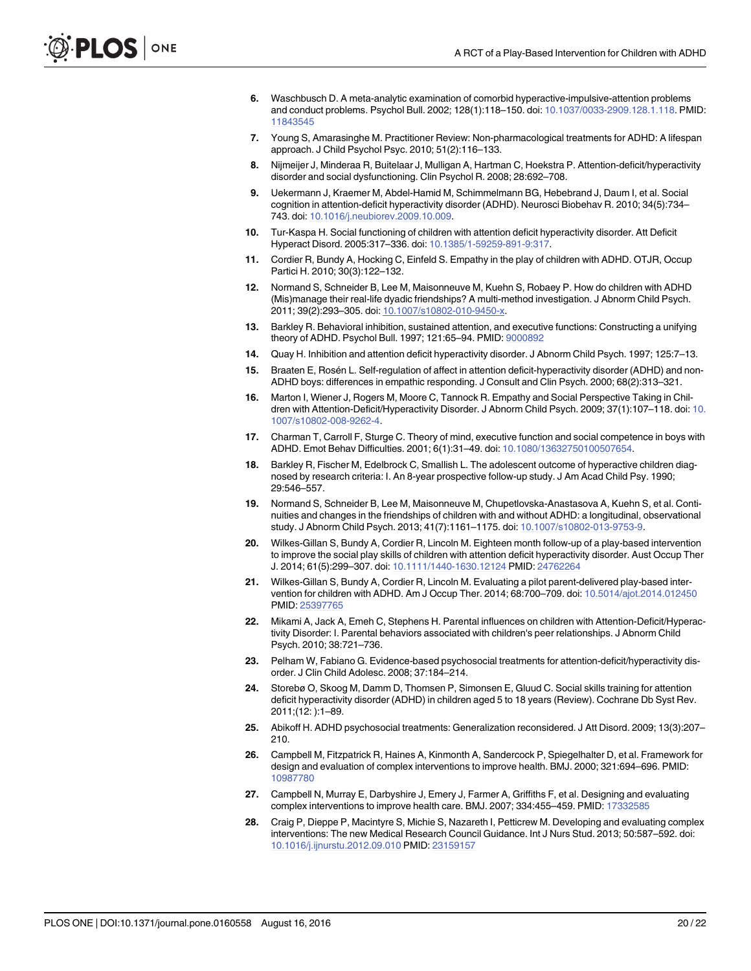- <span id="page-19-0"></span>6. Waschbusch D. A meta-analytic examination of comorbid hyperactive-impulsive-attention problems and conduct problems. Psychol Bull. 2002; 128(1):118–150. doi: [10.1037/0033-2909.128.1.118](http://dx.doi.org/10.1037/0033-2909.128.1.118). PMID: [11843545](http://www.ncbi.nlm.nih.gov/pubmed/11843545)
- [7.](#page-1-0) Young S, Amarasinghe M. Practitioner Review: Non-pharmacological treatments for ADHD: A lifespan approach. J Child Psychol Psyc. 2010; 51(2):116–133.
- [8.](#page-1-0) Nijmeijer J, Minderaa R, Buitelaar J, Mulligan A, Hartman C, Hoekstra P. Attention-deficit/hyperactivity disorder and social dysfunctioning. Clin Psychol R. 2008; 28:692–708.
- [9.](#page-1-0) Uekermann J, Kraemer M, Abdel-Hamid M, Schimmelmann BG, Hebebrand J, Daum I, et al. Social cognition in attention-deficit hyperactivity disorder (ADHD). Neurosci Biobehav R. 2010; 34(5):734– 743. doi: [10.1016/j.neubiorev.2009.10.009](http://dx.doi.org/10.1016/j.neubiorev.2009.10.009).
- [10.](#page-1-0) Tur-Kaspa H. Social functioning of children with attention deficit hyperactivity disorder. Att Deficit Hyperact Disord. 2005:317–336. doi: [10.1385/1-59259-891-9:317.](http://dx.doi.org/10.1385/1-59259-891-9:317)
- [11.](#page-1-0) Cordier R, Bundy A, Hocking C, Einfeld S. Empathy in the play of children with ADHD. OTJR, Occup Partici H. 2010; 30(3):122–132.
- [12.](#page-1-0) Normand S, Schneider B, Lee M, Maisonneuve M, Kuehn S, Robaey P. How do children with ADHD (Mis)manage their real-life dyadic friendships? A multi-method investigation. J Abnorm Child Psych. 2011; 39(2):293–305. doi: [10.1007/s10802-010-9450-x.](http://dx.doi.org/10.1007/s10802-010-9450-x)
- [13.](#page-1-0) Barkley R. Behavioral inhibition, sustained attention, and executive functions: Constructing a unifying theory of ADHD. Psychol Bull. 1997; 121:65–94. PMID: [9000892](http://www.ncbi.nlm.nih.gov/pubmed/9000892)
- [14.](#page-1-0) Quay H. Inhibition and attention deficit hyperactivity disorder. J Abnorm Child Psych. 1997; 125:7–13.
- [15.](#page-1-0) Braaten E, Rosén L. Self-regulation of affect in attention deficit-hyperactivity disorder (ADHD) and non-ADHD boys: differences in empathic responding. J Consult and Clin Psych. 2000; 68(2):313–321.
- Marton I, Wiener J, Rogers M, Moore C, Tannock R. Empathy and Social Perspective Taking in Chil-dren with Attention-Deficit/Hyperactivity Disorder. J Abnorm Child Psych. 2009; 37(1):107-118. doi: [10.](http://dx.doi.org/10.1007/s10802-008-9262-4) [1007/s10802-008-9262-4.](http://dx.doi.org/10.1007/s10802-008-9262-4)
- [17.](#page-1-0) Charman T, Carroll F, Sturge C. Theory of mind, executive function and social competence in boys with ADHD. Emot Behav Difficulties. 2001; 6(1):31–49. doi: [10.1080/13632750100507654](http://dx.doi.org/10.1080/13632750100507654).
- [18.](#page-1-0) Barkley R, Fischer M, Edelbrock C, Smallish L. The adolescent outcome of hyperactive children diagnosed by research criteria: I. An 8-year prospective follow-up study. J Am Acad Child Psy. 1990; 29:546–557.
- [19.](#page-1-0) Normand S, Schneider B, Lee M, Maisonneuve M, Chupetlovska-Anastasova A, Kuehn S, et al. Continuities and changes in the friendships of children with and without ADHD: a longitudinal, observational study. J Abnorm Child Psych. 2013; 41(7):1161–1175. doi: [10.1007/s10802-013-9753-9](http://dx.doi.org/10.1007/s10802-013-9753-9).
- [20.](#page-1-0) Wilkes-Gillan S, Bundy A, Cordier R, Lincoln M. Eighteen month follow-up of a play-based intervention to improve the social play skills of children with attention deficit hyperactivity disorder. Aust Occup Ther J. 2014; 61(5):299–307. doi: [10.1111/1440-1630.12124](http://dx.doi.org/10.1111/1440-1630.12124) PMID: [24762264](http://www.ncbi.nlm.nih.gov/pubmed/24762264)
- [21.](#page-1-0) Wilkes-Gillan S, Bundy A, Cordier R, Lincoln M. Evaluating a pilot parent-delivered play-based intervention for children with ADHD. Am J Occup Ther. 2014; 68:700–709. doi: [10.5014/ajot.2014.012450](http://dx.doi.org/10.5014/ajot.2014.012450) PMID: [25397765](http://www.ncbi.nlm.nih.gov/pubmed/25397765)
- [22.](#page-1-0) Mikami A, Jack A, Emeh C, Stephens H. Parental influences on children with Attention-Deficit/Hyperactivity Disorder: I. Parental behaviors associated with children's peer relationships. J Abnorm Child Psych. 2010; 38:721–736.
- [23.](#page-1-0) Pelham W, Fabiano G. Evidence-based psychosocial treatments for attention-deficit/hyperactivity disorder. J Clin Child Adolesc. 2008; 37:184–214.
- [24.](#page-1-0) Storebø O, Skoog M, Damm D, Thomsen P, Simonsen E, Gluud C. Social skills training for attention deficit hyperactivity disorder (ADHD) in children aged 5 to 18 years (Review). Cochrane Db Syst Rev. 2011;(12: ):1–89.
- [25.](#page-1-0) Abikoff H. ADHD psychosocial treatments: Generalization reconsidered. J Att Disord. 2009; 13(3):207– 210.
- [26.](#page-2-0) Campbell M, Fitzpatrick R, Haines A, Kinmonth A, Sandercock P, Spiegelhalter D, et al. Framework for design and evaluation of complex interventions to improve health. BMJ. 2000; 321:694–696. PMID: [10987780](http://www.ncbi.nlm.nih.gov/pubmed/10987780)
- [27.](#page-17-0) Campbell N, Murray E, Darbyshire J, Emery J, Farmer A, Griffiths F, et al. Designing and evaluating complex interventions to improve health care. BMJ. 2007; 334:455–459. PMID: [17332585](http://www.ncbi.nlm.nih.gov/pubmed/17332585)
- [28.](#page-2-0) Craig P, Dieppe P, Macintyre S, Michie S, Nazareth I, Petticrew M. Developing and evaluating complex interventions: The new Medical Research Council Guidance. Int J Nurs Stud. 2013; 50:587–592. doi: [10.1016/j.ijnurstu.2012.09.010](http://dx.doi.org/10.1016/j.ijnurstu.2012.09.010) PMID: [23159157](http://www.ncbi.nlm.nih.gov/pubmed/23159157)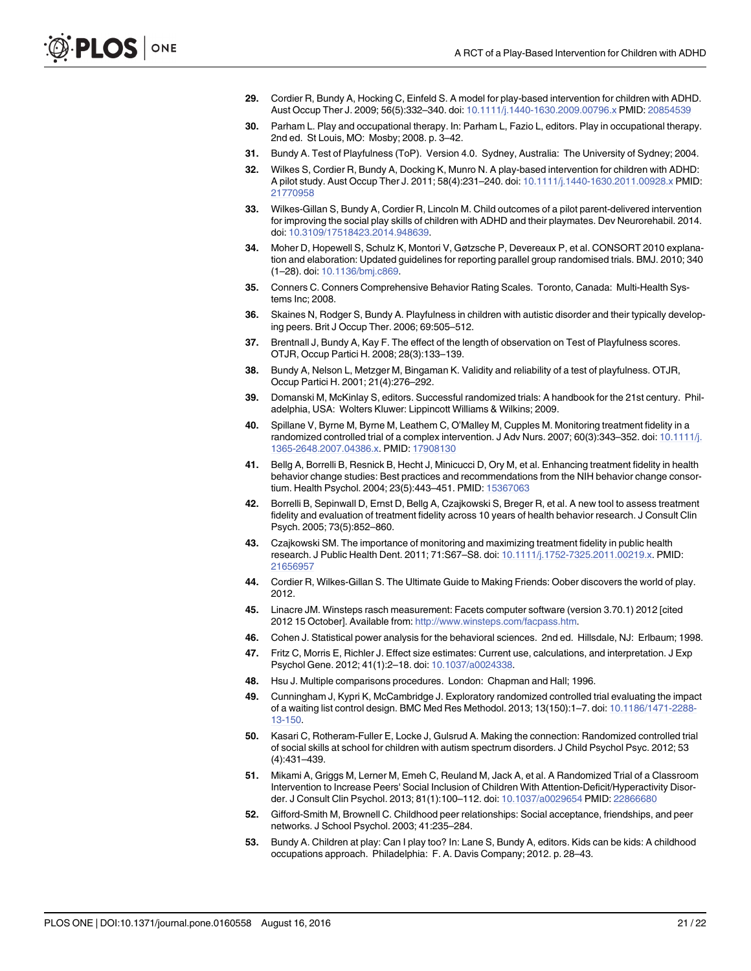- <span id="page-20-0"></span>[29.](#page-2-0) Cordier R, Bundy A, Hocking C, Einfeld S. A model for play-based intervention for children with ADHD. Aust Occup Ther J. 2009; 56(5):332–340. doi: [10.1111/j.1440-1630.2009.00796.x](http://dx.doi.org/10.1111/j.1440-1630.2009.00796.x) PMID: [20854539](http://www.ncbi.nlm.nih.gov/pubmed/20854539)
- [30.](#page-2-0) Parham L. Play and occupational therapy. In: Parham L, Fazio L, editors. Play in occupational therapy. 2nd ed. St Louis, MO: Mosby; 2008. p. 3–42.
- [31.](#page-2-0) Bundy A. Test of Playfulness (ToP). Version 4.0. Sydney, Australia: The University of Sydney; 2004.
- [32.](#page-2-0) Wilkes S, Cordier R, Bundy A, Docking K, Munro N. A play-based intervention for children with ADHD: A pilot study. Aust Occup Ther J. 2011; 58(4):231–240. doi: [10.1111/j.1440-1630.2011.00928.x](http://dx.doi.org/10.1111/j.1440-1630.2011.00928.x) PMID: [21770958](http://www.ncbi.nlm.nih.gov/pubmed/21770958)
- [33.](#page-2-0) Wilkes-Gillan S, Bundy A, Cordier R, Lincoln M. Child outcomes of a pilot parent-delivered intervention for improving the social play skills of children with ADHD and their playmates. Dev Neurorehabil. 2014. doi: [10.3109/17518423.2014.948639.](http://dx.doi.org/10.3109/17518423.2014.948639)
- [34.](#page-3-0) Moher D, Hopewell S, Schulz K, Montori V, Gøtzsche P, Devereaux P, et al. CONSORT 2010 explanation and elaboration: Updated guidelines for reporting parallel group randomised trials. BMJ. 2010; 340 (1–28). doi: [10.1136/bmj.c869.](http://dx.doi.org/10.1136/bmj.c869)
- [35.](#page-4-0) Conners C. Conners Comprehensive Behavior Rating Scales. Toronto, Canada: Multi-Health Systems Inc; 2008.
- [36.](#page-6-0) Skaines N, Rodger S, Bundy A. Playfulness in children with autistic disorder and their typically developing peers. Brit J Occup Ther. 2006; 69:505–512.
- [37.](#page-7-0) Brentnall J, Bundy A, Kay F. The effect of the length of observation on Test of Playfulness scores. OTJR, Occup Partici H. 2008; 28(3):133–139.
- [38.](#page-7-0) Bundy A, Nelson L, Metzger M, Bingaman K. Validity and reliability of a test of playfulness. OTJR, Occup Partici H. 2001; 21(4):276–292.
- [39.](#page-7-0) Domanski M, McKinlay S, editors. Successful randomized trials: A handbook for the 21st century. Philadelphia, USA: Wolters Kluwer: Lippincott Williams & Wilkins; 2009.
- [40.](#page-8-0) Spillane V, Byrne M, Byrne M, Leathem C, O'Malley M, Cupples M. Monitoring treatment fidelity in a randomized controlled trial of a complex intervention. J Adv Nurs. 2007; 60(3):343–352. doi: [10.1111/j.](http://dx.doi.org/10.1111/j.1365-2648.2007.04386.x) [1365-2648.2007.04386.x.](http://dx.doi.org/10.1111/j.1365-2648.2007.04386.x) PMID: [17908130](http://www.ncbi.nlm.nih.gov/pubmed/17908130)
- [41.](#page-9-0) Bellg A, Borrelli B, Resnick B, Hecht J, Minicucci D, Ory M, et al. Enhancing treatment fidelity in health behavior change studies: Best practices and recommendations from the NIH behavior change consortium. Health Psychol. 2004; 23(5):443–451. PMID: [15367063](http://www.ncbi.nlm.nih.gov/pubmed/15367063)
- [42.](#page-9-0) Borrelli B, Sepinwall D, Ernst D, Bellg A, Czajkowski S, Breger R, et al. A new tool to assess treatment fidelity and evaluation of treatment fidelity across 10 years of health behavior research. J Consult Clin Psych. 2005; 73(5):852–860.
- [43.](#page-9-0) Czajkowski SM. The importance of monitoring and maximizing treatment fidelity in public health research. J Public Health Dent. 2011; 71:S67–S8. doi: [10.1111/j.1752-7325.2011.00219.x.](http://dx.doi.org/10.1111/j.1752-7325.2011.00219.x) PMID: [21656957](http://www.ncbi.nlm.nih.gov/pubmed/21656957)
- [44.](#page-9-0) Cordier R, Wilkes-Gillan S. The Ultimate Guide to Making Friends: Oober discovers the world of play. 2012.
- [45.](#page-10-0) Linacre JM. Winsteps rasch measurement: Facets computer software (version 3.70.1) 2012 [cited 2012 15 October]. Available from: <http://www.winsteps.com/facpass.htm>.
- [46.](#page-11-0) Cohen J. Statistical power analysis for the behavioral sciences. 2nd ed. Hillsdale, NJ: Erlbaum; 1998.
- [47.](#page-11-0) Fritz C, Morris E, Richler J. Effect size estimates: Current use, calculations, and interpretation. J Exp Psychol Gene. 2012; 41(1):2-18. doi: 10.1037/a0024338
- [48.](#page-11-0) Hsu J. Multiple comparisons procedures. London: Chapman and Hall; 1996.
- [49.](#page-15-0) Cunningham J, Kypri K, McCambridge J. Exploratory randomized controlled trial evaluating the impact of a waiting list control design. BMC Med Res Methodol. 2013; 13(150):1–7. doi: [10.1186/1471-2288-](http://dx.doi.org/10.1186/1471-2288-13-150) [13-150.](http://dx.doi.org/10.1186/1471-2288-13-150)
- [50.](#page-15-0) Kasari C, Rotheram-Fuller E, Locke J, Gulsrud A. Making the connection: Randomized controlled trial of social skills at school for children with autism spectrum disorders. J Child Psychol Psyc. 2012; 53 (4):431–439.
- [51.](#page-15-0) Mikami A, Griggs M, Lerner M, Emeh C, Reuland M, Jack A, et al. A Randomized Trial of a Classroom Intervention to Increase Peers' Social Inclusion of Children With Attention-Deficit/Hyperactivity Disorder. J Consult Clin Psychol. 2013; 81(1):100–112. doi: [10.1037/a0029654](http://dx.doi.org/10.1037/a0029654) PMID: [22866680](http://www.ncbi.nlm.nih.gov/pubmed/22866680)
- [52.](#page-15-0) Gifford-Smith M, Brownell C. Childhood peer relationships: Social acceptance, friendships, and peer networks. J School Psychol. 2003; 41:235–284.
- [53.](#page-16-0) Bundy A. Children at play: Can I play too? In: Lane S, Bundy A, editors. Kids can be kids: A childhood occupations approach. Philadelphia: F. A. Davis Company; 2012. p. 28–43.